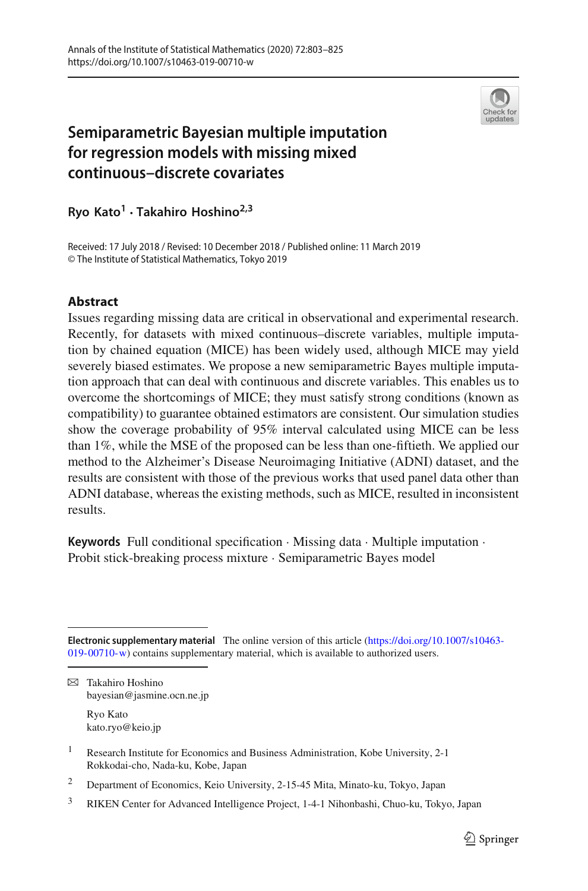

# **Semiparametric Bayesian multiple imputation for regression models with missing mixed continuous–discrete covariates**

**Ryo Kato1 · Takahiro Hoshino2,3**

Received: 17 July 2018 / Revised: 10 December 2018 / Published online: 11 March 2019 © The Institute of Statistical Mathematics, Tokyo 2019

# **Abstract**

Issues regarding missing data are critical in observational and experimental research. Recently, for datasets with mixed continuous–discrete variables, multiple imputation by chained equation (MICE) has been widely used, although MICE may yield severely biased estimates. We propose a new semiparametric Bayes multiple imputation approach that can deal with continuous and discrete variables. This enables us to overcome the shortcomings of MICE; they must satisfy strong conditions (known as compatibility) to guarantee obtained estimators are consistent. Our simulation studies show the coverage probability of 95% interval calculated using MICE can be less than 1%, while the MSE of the proposed can be less than one-fiftieth. We applied our method to the Alzheimer's Disease Neuroimaging Initiative (ADNI) dataset, and the results are consistent with those of the previous works that used panel data other than ADNI database, whereas the existing methods, such as MICE, resulted in inconsistent results.

**Keywords** Full conditional specification · Missing data · Multiple imputation · Probit stick-breaking process mixture · Semiparametric Bayes model

B Takahiro Hoshino bayesian@jasmine.ocn.ne.jp

> Ryo Kato kato.ryo@keio.jp

- <sup>1</sup> Research Institute for Economics and Business Administration, Kobe University, 2-1 Rokkodai-cho, Nada-ku, Kobe, Japan
- <sup>2</sup> Department of Economics, Keio University, 2-15-45 Mita, Minato-ku, Tokyo, Japan
- <sup>3</sup> RIKEN Center for Advanced Intelligence Project, 1-4-1 Nihonbashi, Chuo-ku, Tokyo, Japan

**Electronic supplementary material** The online version of this article [\(https://doi.org/10.1007/s10463-](https://doi.org/10.1007/s10463-019-00710-w) [019-00710-w\)](https://doi.org/10.1007/s10463-019-00710-w) contains supplementary material, which is available to authorized users.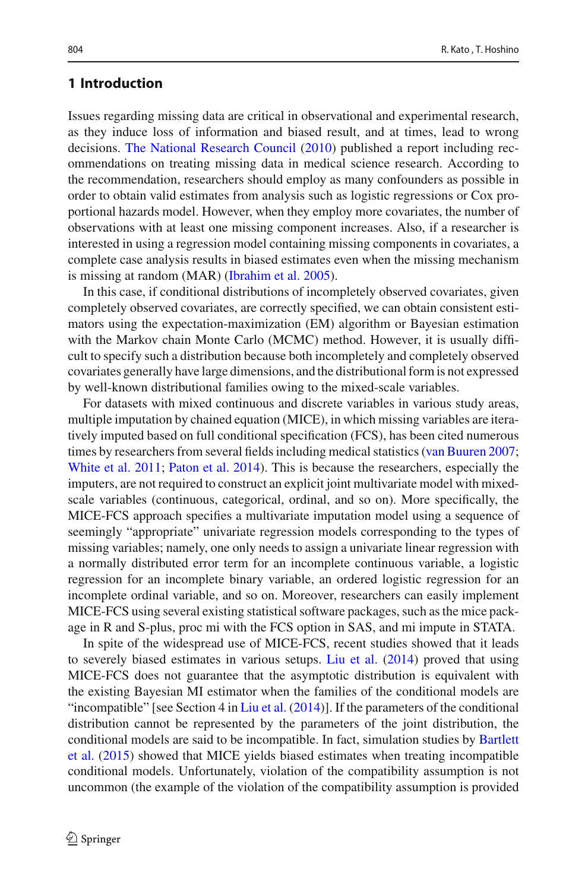# **1 Introduction**

Issues regarding missing data are critical in observational and experimental research, as they induce loss of information and biased result, and at times, lead to wrong decisions. [The National Research Council](#page-22-0) [\(2010](#page-22-0)) published a report including recommendations on treating missing data in medical science research. According to the recommendation, researchers should employ as many confounders as possible in order to obtain valid estimates from analysis such as logistic regressions or Cox proportional hazards model. However, when they employ more covariates, the number of observations with at least one missing component increases. Also, if a researcher is interested in using a regression model containing missing components in covariates, a complete case analysis results in biased estimates even when the missing mechanism is missing at random (MAR) [\(Ibrahim et al. 2005\)](#page-21-0).

In this case, if conditional distributions of incompletely observed covariates, given completely observed covariates, are correctly specified, we can obtain consistent estimators using the expectation-maximization (EM) algorithm or Bayesian estimation with the Markov chain Monte Carlo (MCMC) method. However, it is usually difficult to specify such a distribution because both incompletely and completely observed covariates generally have large dimensions, and the distributional form is not expressed by well-known distributional families owing to the mixed-scale variables.

For datasets with mixed continuous and discrete variables in various study areas, multiple imputation by chained equation (MICE), in which missing variables are iteratively imputed based on full conditional specification (FCS), has been cited numerous times by researchers from several fields including medical statistics [\(van Buuren 2007](#page-22-1); [White et al. 2011;](#page-22-2) [Paton et al. 2014](#page-22-3)). This is because the researchers, especially the imputers, are not required to construct an explicit joint multivariate model with mixedscale variables (continuous, categorical, ordinal, and so on). More specifically, the MICE-FCS approach specifies a multivariate imputation model using a sequence of seemingly "appropriate" univariate regression models corresponding to the types of missing variables; namely, one only needs to assign a univariate linear regression with a normally distributed error term for an incomplete continuous variable, a logistic regression for an incomplete binary variable, an ordered logistic regression for an incomplete ordinal variable, and so on. Moreover, researchers can easily implement MICE-FCS using several existing statistical software packages, such as the mice package in R and S-plus, proc mi with the FCS option in SAS, and mi impute in STATA.

In spite of the widespread use of MICE-FCS, recent studies showed that it leads to severely biased estimates in various setups. [Liu et al.](#page-21-1) [\(2014\)](#page-21-1) proved that using MICE-FCS does not guarantee that the asymptotic distribution is equivalent with the existing Bayesian MI estimator when the families of the conditional models are "incompatible" [see Section 4 in [Liu et al.](#page-21-1)  $(2014)$ ]. If the parameters of the conditional distribution cannot be represented by the parameters of the joint distribution, the cond[itional](#page-21-2) [models](#page-21-2) [are](#page-21-2) [said](#page-21-2) [to](#page-21-2) [be](#page-21-2) [incompatible.](#page-21-2) [In](#page-21-2) [fact,](#page-21-2) [simulation](#page-21-2) [studies](#page-21-2) [by](#page-21-2) Bartlett et al. [\(2015\)](#page-21-2) showed that MICE yields biased estimates when treating incompatible conditional models. Unfortunately, violation of the compatibility assumption is not uncommon (the example of the violation of the compatibility assumption is provided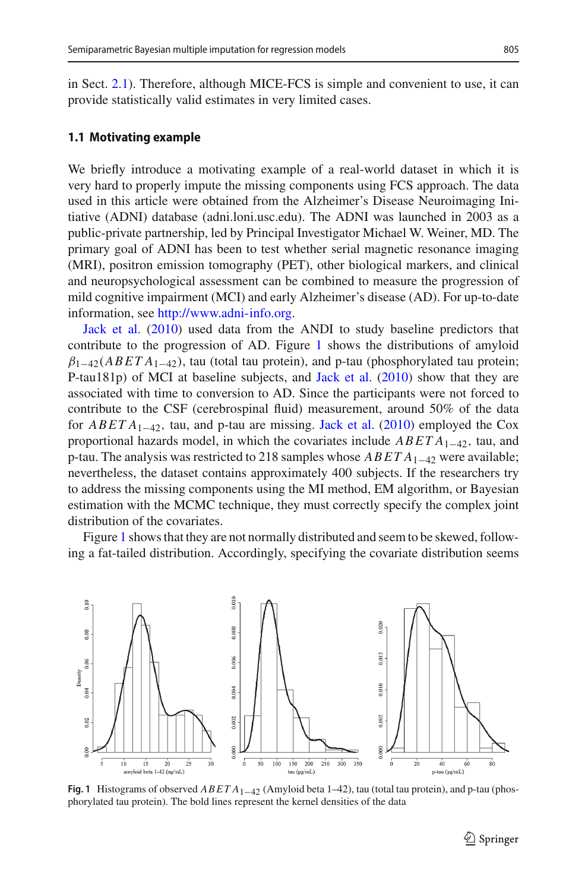in Sect. [2.1\)](#page-5-0). Therefore, although MICE-FCS is simple and convenient to use, it can provide statistically valid estimates in very limited cases.

### <span id="page-2-1"></span>**1.1 Motivating example**

We briefly introduce a motivating example of a real-world dataset in which it is very hard to properly impute the missing components using FCS approach. The data used in this article were obtained from the Alzheimer's Disease Neuroimaging Initiative (ADNI) database (adni.loni.usc.edu). The ADNI was launched in 2003 as a public-private partnership, led by Principal Investigator Michael W. Weiner, MD. The primary goal of ADNI has been to test whether serial magnetic resonance imaging (MRI), positron emission tomography (PET), other biological markers, and clinical and neuropsychological assessment can be combined to measure the progression of mild cognitive impairment (MCI) and early Alzheimer's disease (AD). For up-to-date [information,](#page-21-3) [s](#page-21-3)ee [http://www.adni-info.org.](http://www.adni-info.org)

Jack et al. [\(2010\)](#page-21-3) used data from the ANDI to study baseline predictors that contribute to the progression of AD. Figure [1](#page-2-0) shows the distributions of amyloid β1−42(*ABET A*1−42), tau (total tau protein), and p-tau (phosphorylated tau protein; P-tau181p) of MCI at baseline subjects, and [Jack et al.](#page-21-3) [\(2010](#page-21-3)) show that they are associated with time to conversion to AD. Since the participants were not forced to contribute to the CSF (cerebrospinal fluid) measurement, around 50% of the data for *ABET A*1−42, tau, and p-tau are missing. [Jack et al.](#page-21-3) [\(2010\)](#page-21-3) employed the Cox proportional hazards model, in which the covariates include *ABET A*1−42, tau, and p-tau. The analysis was restricted to 218 samples whose *ABET A*1−<sup>42</sup> were available; nevertheless, the dataset contains approximately 400 subjects. If the researchers try to address the missing components using the MI method, EM algorithm, or Bayesian estimation with the MCMC technique, they must correctly specify the complex joint distribution of the covariates.

Figure [1](#page-2-0) shows that they are not normally distributed and seem to be skewed, following a fat-tailed distribution. Accordingly, specifying the covariate distribution seems



<span id="page-2-0"></span>**Fig. 1** Histograms of observed *ABET A*1−<sup>42</sup> (Amyloid beta 1–42), tau (total tau protein), and p-tau (phosphorylated tau protein). The bold lines represent the kernel densities of the data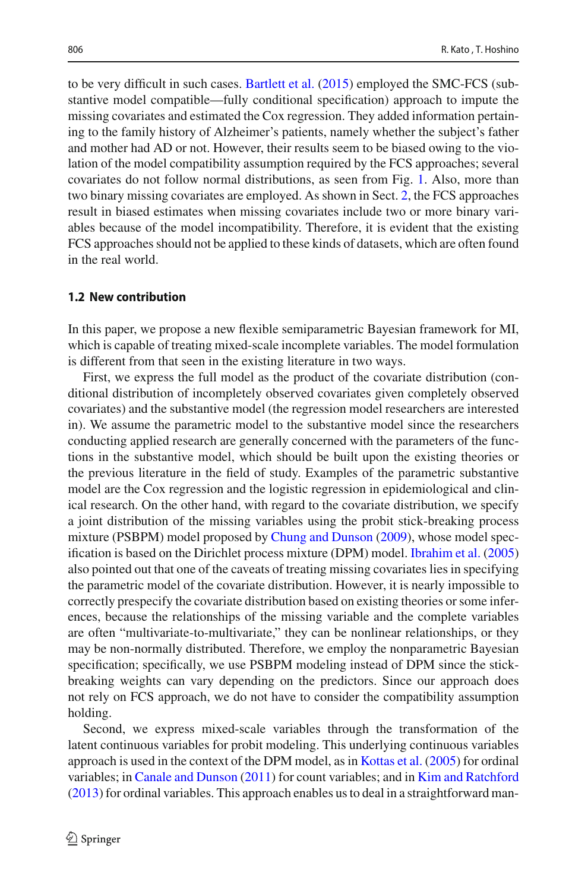to be very difficult in such cases. [Bartlett et al.](#page-21-2) [\(2015\)](#page-21-2) employed the SMC-FCS (substantive model compatible—fully conditional specification) approach to impute the missing covariates and estimated the Cox regression. They added information pertaining to the family history of Alzheimer's patients, namely whether the subject's father and mother had AD or not. However, their results seem to be biased owing to the violation of the model compatibility assumption required by the FCS approaches; several covariates do not follow normal distributions, as seen from Fig. [1.](#page-2-0) Also, more than two binary missing covariates are employed. As shown in Sect. [2,](#page-5-1) the FCS approaches result in biased estimates when missing covariates include two or more binary variables because of the model incompatibility. Therefore, it is evident that the existing FCS approaches should not be applied to these kinds of datasets, which are often found in the real world.

### **1.2 New contribution**

In this paper, we propose a new flexible semiparametric Bayesian framework for MI, which is capable of treating mixed-scale incomplete variables. The model formulation is different from that seen in the existing literature in two ways.

First, we express the full model as the product of the covariate distribution (conditional distribution of incompletely observed covariates given completely observed covariates) and the substantive model (the regression model researchers are interested in). We assume the parametric model to the substantive model since the researchers conducting applied research are generally concerned with the parameters of the functions in the substantive model, which should be built upon the existing theories or the previous literature in the field of study. Examples of the parametric substantive model are the Cox regression and the logistic regression in epidemiological and clinical research. On the other hand, with regard to the covariate distribution, we specify a joint distribution of the missing variables using the probit stick-breaking process mixture (PSBPM) model proposed by [Chung and Dunson](#page-21-4) [\(2009](#page-21-4)), whose model specification is based on the Dirichlet process mixture (DPM) model. [Ibrahim et al.](#page-21-0) [\(2005\)](#page-21-0) also pointed out that one of the caveats of treating missing covariates lies in specifying the parametric model of the covariate distribution. However, it is nearly impossible to correctly prespecify the covariate distribution based on existing theories or some inferences, because the relationships of the missing variable and the complete variables are often "multivariate-to-multivariate," they can be nonlinear relationships, or they may be non-normally distributed. Therefore, we employ the nonparametric Bayesian specification; specifically, we use PSBPM modeling instead of DPM since the stickbreaking weights can vary depending on the predictors. Since our approach does not rely on FCS approach, we do not have to consider the compatibility assumption holding.

Second, we express mixed-scale variables through the transformation of the latent continuous variables for probit modeling. This underlying continuous variables approach is used in the context of the DPM model, as in [Kottas et al.](#page-21-5) [\(2005](#page-21-5)) for ordinal variables; in [Canale and Dunson](#page-21-6) [\(2011\)](#page-21-6) for count variables; and in [Kim and Ratchford](#page-21-7) [\(2013\)](#page-21-7) for ordinal variables. This approach enables us to deal in a straightforward man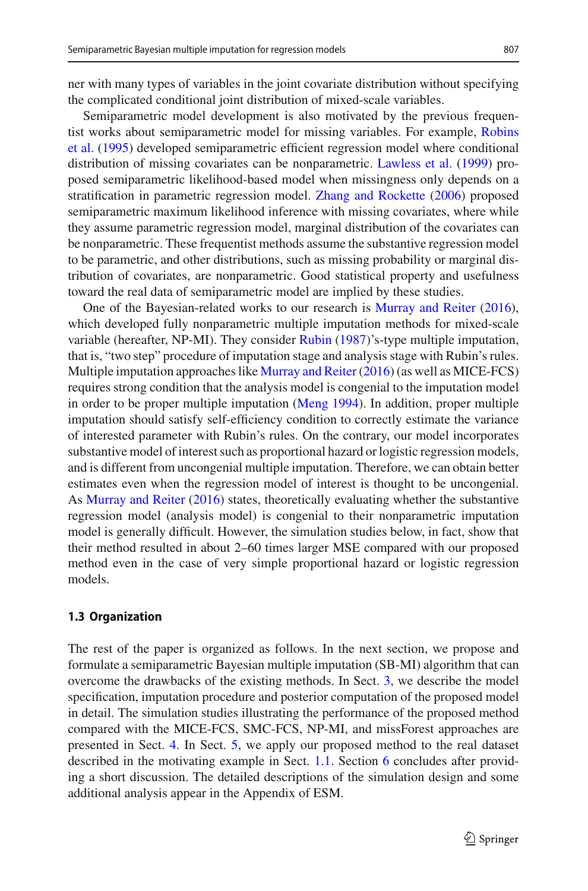ner with many types of variables in the joint covariate distribution without specifying the complicated conditional joint distribution of mixed-scale variables.

Semiparametric model development is also motivated by the previous frequentist [works](#page-22-4) [about](#page-22-4) [semiparametric](#page-22-4) [model](#page-22-4) [for](#page-22-4) [missing](#page-22-4) [variables.](#page-22-4) [For](#page-22-4) [example,](#page-22-4) Robins et al. [\(1995](#page-22-4)) developed semiparametric efficient regression model where conditional distribution of missing covariates can be nonparametric. [Lawless et al.](#page-21-8) [\(1999\)](#page-21-8) proposed semiparametric likelihood-based model when missingness only depends on a stratification in parametric regression model. [Zhang and Rockette](#page-22-5) [\(2006\)](#page-22-5) proposed semiparametric maximum likelihood inference with missing covariates, where while they assume parametric regression model, marginal distribution of the covariates can be nonparametric. These frequentist methods assume the substantive regression model to be parametric, and other distributions, such as missing probability or marginal distribution of covariates, are nonparametric. Good statistical property and usefulness toward the real data of semiparametric model are implied by these studies.

One of the Bayesian-related works to our research is [Murray and Reiter](#page-22-6) [\(2016](#page-22-6)), which developed fully nonparametric multiple imputation methods for mixed-scale variable (hereafter, NP-MI). They consider [Rubin](#page-22-7) [\(1987\)](#page-22-7)'s-type multiple imputation, that is, "two step" procedure of imputation stage and analysis stage with Rubin's rules. Multiple imputation approaches like [Murray and Reiter](#page-22-6) [\(2016\)](#page-22-6) (as well as MICE-FCS) requires strong condition that the analysis model is congenial to the imputation model in order to be proper multiple imputation [\(Meng 1994](#page-22-8)). In addition, proper multiple imputation should satisfy self-efficiency condition to correctly estimate the variance of interested parameter with Rubin's rules. On the contrary, our model incorporates substantive model of interest such as proportional hazard or logistic regression models, and is different from uncongenial multiple imputation. Therefore, we can obtain better estimates even when the regression model of interest is thought to be uncongenial. As [Murray and Reiter](#page-22-6) [\(2016](#page-22-6)) states, theoretically evaluating whether the substantive regression model (analysis model) is congenial to their nonparametric imputation model is generally difficult. However, the simulation studies below, in fact, show that their method resulted in about 2–60 times larger MSE compared with our proposed method even in the case of very simple proportional hazard or logistic regression models.

### **1.3 Organization**

The rest of the paper is organized as follows. In the next section, we propose and formulate a semiparametric Bayesian multiple imputation (SB-MI) algorithm that can overcome the drawbacks of the existing methods. In Sect. [3,](#page-7-0) we describe the model specification, imputation procedure and posterior computation of the proposed model in detail. The simulation studies illustrating the performance of the proposed method compared with the MICE-FCS, SMC-FCS, NP-MI, and missForest approaches are presented in Sect. [4.](#page-13-0) In Sect. [5,](#page-17-0) we apply our proposed method to the real dataset described in the motivating example in Sect. [1.1.](#page-2-1) Section [6](#page-18-0) concludes after providing a short discussion. The detailed descriptions of the simulation design and some additional analysis appear in the Appendix of ESM.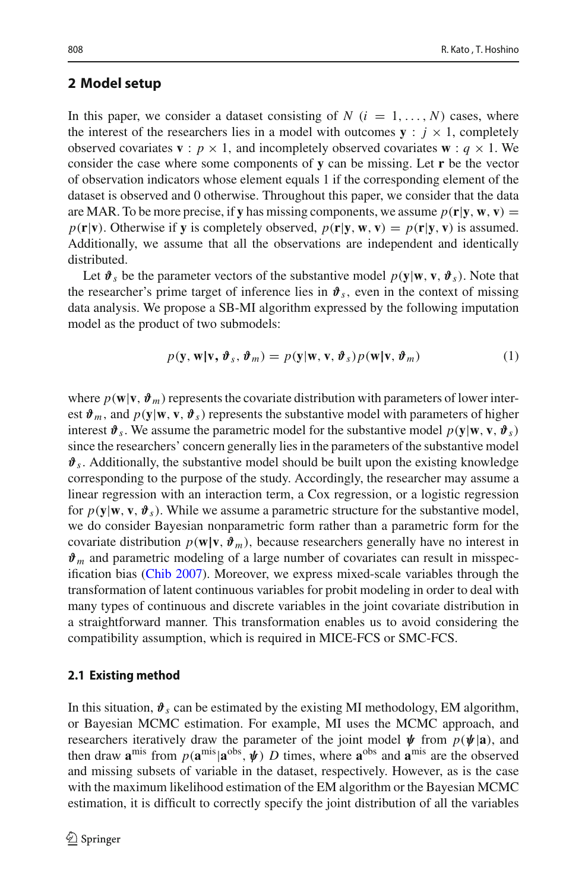# <span id="page-5-1"></span>**2 Model setup**

In this paper, we consider a dataset consisting of  $N$  ( $i = 1, \ldots, N$ ) cases, where the interest of the researchers lies in a model with outcomes  $\mathbf{y}$  :  $j \times 1$ , completely observed covariates **v** :  $p \times 1$ , and incompletely observed covariates **w** :  $q \times 1$ . We consider the case where some components of **y** can be missing. Let **r** be the vector of observation indicators whose element equals 1 if the corresponding element of the dataset is observed and 0 otherwise. Throughout this paper, we consider that the data are MAR. To be more precise, if **y** has missing components, we assume  $p(\mathbf{r}|\mathbf{y}, \mathbf{w}, \mathbf{v}) =$  $p(\mathbf{r}|\mathbf{v})$ . Otherwise if **y** is completely observed,  $p(\mathbf{r}|\mathbf{y}, \mathbf{w}, \mathbf{v}) = p(\mathbf{r}|\mathbf{y}, \mathbf{v})$  is assumed. Additionally, we assume that all the observations are independent and identically distributed.

Let  $\mathbf{\hat{v}}_s$  be the parameter vectors of the substantive model  $p(\mathbf{y}|\mathbf{w}, \mathbf{v}, \mathbf{\hat{v}}_s)$ . Note that the researcher's prime target of inference lies in  $\mathbf{\hat{v}}_s$ , even in the context of missing data analysis. We propose a SB-MI algorithm expressed by the following imputation model as the product of two submodels:

<span id="page-5-2"></span>
$$
p(\mathbf{y}, \mathbf{w} | \mathbf{v}, \boldsymbol{\vartheta}_s, \boldsymbol{\vartheta}_m) = p(\mathbf{y} | \mathbf{w}, \mathbf{v}, \boldsymbol{\vartheta}_s) p(\mathbf{w} | \mathbf{v}, \boldsymbol{\vartheta}_m)
$$
(1)

where  $p(\mathbf{w}|\mathbf{v}, \vartheta_m)$  represents the covariate distribution with parameters of lower interest  $\mathbf{\hat{v}}_m$ , and  $p(\mathbf{y}|\mathbf{w}, \mathbf{v}, \mathbf{\hat{v}}_s)$  represents the substantive model with parameters of higher interest  $\mathbf{\hat{v}}_s$ . We assume the parametric model for the substantive model  $p(\mathbf{y}|\mathbf{w}, \mathbf{v}, \mathbf{\hat{v}}_s)$ since the researchers' concern generally lies in the parameters of the substantive model  $\mathbf{\hat{v}}_s$ . Additionally, the substantive model should be built upon the existing knowledge corresponding to the purpose of the study. Accordingly, the researcher may assume a linear regression with an interaction term, a Cox regression, or a logistic regression for  $p(\mathbf{y}|\mathbf{w}, \mathbf{v}, \boldsymbol{\vartheta}_s)$ . While we assume a parametric structure for the substantive model, we do consider Bayesian nonparametric form rather than a parametric form for the covariate distribution  $p(\mathbf{w}|\mathbf{v}, \boldsymbol{\vartheta}_m)$ , because researchers generally have no interest in  $\mathbf{\hat{v}}_m$  and parametric modeling of a large number of covariates can result in misspecification bias [\(Chib 2007](#page-21-9)). Moreover, we express mixed-scale variables through the transformation of latent continuous variables for probit modeling in order to deal with many types of continuous and discrete variables in the joint covariate distribution in a straightforward manner. This transformation enables us to avoid considering the compatibility assumption, which is required in MICE-FCS or SMC-FCS.

#### <span id="page-5-0"></span>**2.1 Existing method**

In this situation,  $\mathbf{\hat{v}}_s$  can be estimated by the existing MI methodology, EM algorithm, or Bayesian MCMC estimation. For example, MI uses the MCMC approach, and researchers iteratively draw the parameter of the joint model  $\psi$  from  $p(\psi|\mathbf{a})$ , and then draw  $\mathbf{a}^{\text{mis}}$  from  $p(\mathbf{a}^{\text{mis}}|\mathbf{a}^{\text{obs}}, \psi)$  *D* times, where  $\mathbf{a}^{\text{obs}}$  and  $\mathbf{a}^{\text{mis}}$  are the observed and missing subsets of variable in the dataset, respectively. However, as is the case with the maximum likelihood estimation of the EM algorithm or the Bayesian MCMC estimation, it is difficult to correctly specify the joint distribution of all the variables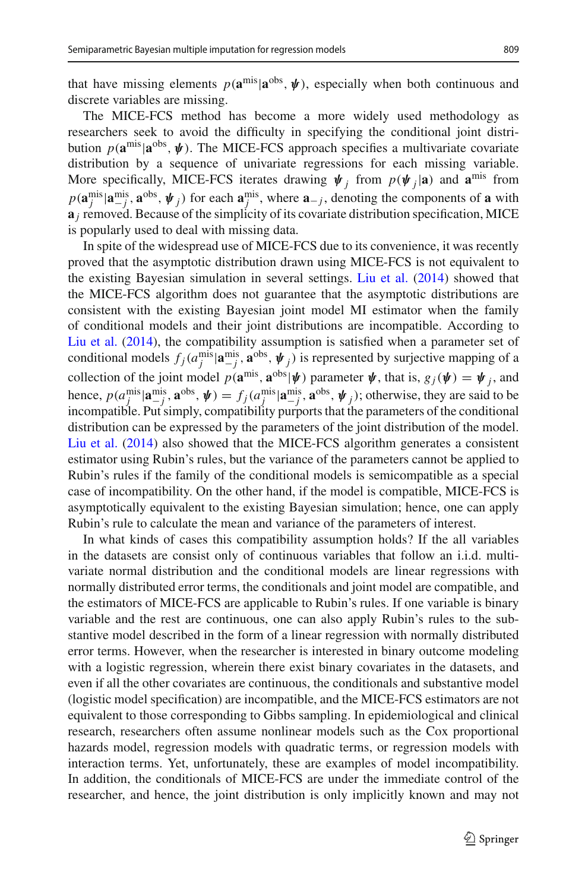The MICE-FCS method has become a more widely used methodology as researchers seek to avoid the difficulty in specifying the conditional joint distribution  $p(\mathbf{a}^{\text{mis}}|\mathbf{a}^{\text{obs}}, \psi)$ . The MICE-FCS approach specifies a multivariate covariate distribution by a sequence of univariate regressions for each missing variable. More specifically, MICE-FCS iterates drawing  $\psi_i$  from  $p(\psi_i|\mathbf{a})$  and  $\mathbf{a}^{\text{mis}}$  from  $p(\mathbf{a}_{j}^{\text{mis}} | \mathbf{a}_{j}^{\text{mis}}, \mathbf{a}^{\text{obs}}, \psi_{j})$  for each  $\mathbf{a}_{j}^{\text{mis}}$ , where  $\mathbf{a}_{-j}$ , denoting the components of  $\mathbf{a}_{j}$  with  $\mathbf{a}_i$  removed. Because of the simplicity of its covariate distribution specification, MICE is popularly used to deal with missing data.

In spite of the widespread use of MICE-FCS due to its convenience, it was recently proved that the asymptotic distribution drawn using MICE-FCS is not equivalent to the existing Bayesian simulation in several settings. [Liu et al.](#page-21-1) [\(2014](#page-21-1)) showed that the MICE-FCS algorithm does not guarantee that the asymptotic distributions are consistent with the existing Bayesian joint model MI estimator when the family of conditional models and their joint distributions are incompatible. According to [Liu et al.](#page-21-1) [\(2014](#page-21-1)), the compatibility assumption is satisfied when a parameter set of conditional models  $f_j(a_j^{\text{mis}} | \mathbf{a}_{-j}^{\text{mis}}, \mathbf{a}^{\text{obs}}, \psi_j)$  is represented by surjective mapping of a collection of the joint model  $p(\mathbf{a}^{\text{mis}}, \mathbf{a}^{\text{obs}} | \psi)$  parameter  $\psi$ , that is,  $g_j(\psi) = \psi_j$ , and hence,  $p(a_j^{\text{mis}} | \mathbf{a}_{-j}^{\text{mis}}, \mathbf{a}^{\text{obs}}, \mathbf{\psi}) = f_j(a_j^{\text{mis}} | \mathbf{a}_{-j}^{\text{mis}}, \mathbf{a}^{\text{obs}}, \mathbf{\psi}_j)$ ; otherwise, they are said to be incompatible. Put simply, compatibility purports that the parameters of the conditional distribution can be expressed by the parameters of the joint distribution of the model. [Liu et al.](#page-21-1) [\(2014\)](#page-21-1) also showed that the MICE-FCS algorithm generates a consistent estimator using Rubin's rules, but the variance of the parameters cannot be applied to Rubin's rules if the family of the conditional models is semicompatible as a special case of incompatibility. On the other hand, if the model is compatible, MICE-FCS is asymptotically equivalent to the existing Bayesian simulation; hence, one can apply Rubin's rule to calculate the mean and variance of the parameters of interest.

In what kinds of cases this compatibility assumption holds? If the all variables in the datasets are consist only of continuous variables that follow an i.i.d. multivariate normal distribution and the conditional models are linear regressions with normally distributed error terms, the conditionals and joint model are compatible, and the estimators of MICE-FCS are applicable to Rubin's rules. If one variable is binary variable and the rest are continuous, one can also apply Rubin's rules to the substantive model described in the form of a linear regression with normally distributed error terms. However, when the researcher is interested in binary outcome modeling with a logistic regression, wherein there exist binary covariates in the datasets, and even if all the other covariates are continuous, the conditionals and substantive model (logistic model specification) are incompatible, and the MICE-FCS estimators are not equivalent to those corresponding to Gibbs sampling. In epidemiological and clinical research, researchers often assume nonlinear models such as the Cox proportional hazards model, regression models with quadratic terms, or regression models with interaction terms. Yet, unfortunately, these are examples of model incompatibility. In addition, the conditionals of MICE-FCS are under the immediate control of the researcher, and hence, the joint distribution is only implicitly known and may not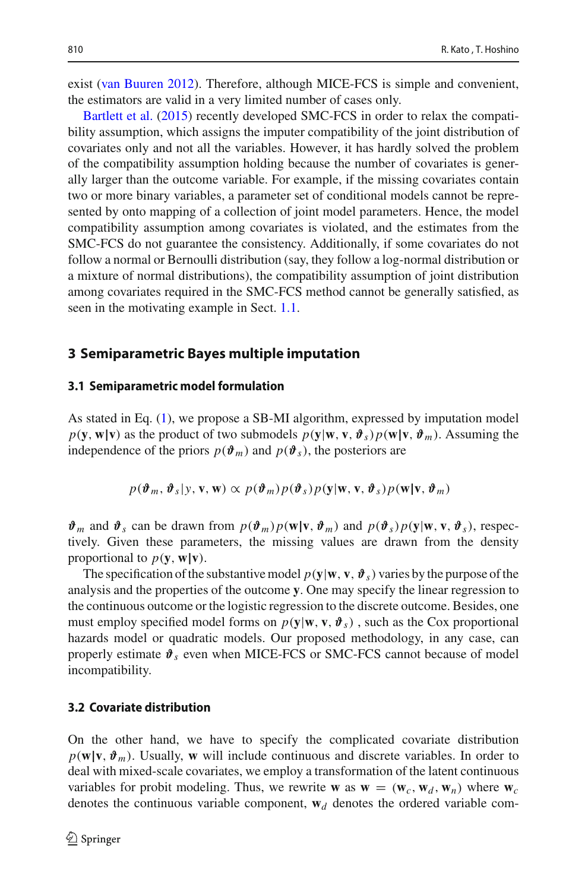exist [\(van Buuren 2012](#page-22-9)). Therefore, although MICE-FCS is simple and convenient, [the](#page-21-2) [estimators](#page-21-2) [ar](#page-21-2)e valid in a very limited number of cases only.

Bartlett et al. [\(2015\)](#page-21-2) recently developed SMC-FCS in order to relax the compatibility assumption, which assigns the imputer compatibility of the joint distribution of covariates only and not all the variables. However, it has hardly solved the problem of the compatibility assumption holding because the number of covariates is generally larger than the outcome variable. For example, if the missing covariates contain two or more binary variables, a parameter set of conditional models cannot be represented by onto mapping of a collection of joint model parameters. Hence, the model compatibility assumption among covariates is violated, and the estimates from the SMC-FCS do not guarantee the consistency. Additionally, if some covariates do not follow a normal or Bernoulli distribution (say, they follow a log-normal distribution or a mixture of normal distributions), the compatibility assumption of joint distribution among covariates required in the SMC-FCS method cannot be generally satisfied, as seen in the motivating example in Sect. [1.1.](#page-2-1)

### <span id="page-7-0"></span>**3 Semiparametric Bayes multiple imputation**

#### **3.1 Semiparametric model formulation**

As stated in Eq. [\(1\)](#page-5-2), we propose a SB-MI algorithm, expressed by imputation model  $p(\mathbf{y}, \mathbf{w}|\mathbf{v})$  as the product of two submodels  $p(\mathbf{y}|\mathbf{w}, \mathbf{v}, \vartheta_s)p(\mathbf{w}|\mathbf{v}, \vartheta_m)$ . Assuming the independence of the priors  $p(\boldsymbol{\vartheta}_m)$  and  $p(\boldsymbol{\vartheta}_s)$ , the posteriors are

$$
p(\boldsymbol{\vartheta}_m, \boldsymbol{\vartheta}_s | y, \mathbf{v}, \mathbf{w}) \propto p(\boldsymbol{\vartheta}_m) p(\boldsymbol{\vartheta}_s) p(\mathbf{y} | \mathbf{w}, \mathbf{v}, \boldsymbol{\vartheta}_s) p(\mathbf{w} | \mathbf{v}, \boldsymbol{\vartheta}_m)
$$

 $\mathbf{\hat{\theta}}_m$  and  $\mathbf{\hat{\theta}}_s$  can be drawn from  $p(\mathbf{\hat{\theta}}_m)p(\mathbf{w}|\mathbf{v}, \mathbf{\hat{\theta}}_m)$  and  $p(\mathbf{\hat{\theta}}_s)p(\mathbf{y}|\mathbf{w}, \mathbf{v}, \mathbf{\hat{\theta}}_s)$ , respectively. Given these parameters, the missing values are drawn from the density proportional to  $p(\mathbf{y}, \mathbf{w}|\mathbf{v})$ .

The specification of the substantive model  $p(y|\mathbf{w}, \mathbf{v}, \vartheta_s)$  varies by the purpose of the analysis and the properties of the outcome **y**. One may specify the linear regression to the continuous outcome or the logistic regression to the discrete outcome. Besides, one must employ specified model forms on  $p(y|\mathbf{w}, \mathbf{v}, \vartheta_s)$ , such as the Cox proportional hazards model or quadratic models. Our proposed methodology, in any case, can properly estimate  $\mathbf{\hat{v}}_s$  even when MICE-FCS or SMC-FCS cannot because of model incompatibility.

### **3.2 Covariate distribution**

On the other hand, we have to specify the complicated covariate distribution  $p(\mathbf{w}|\mathbf{v}, \vartheta_m)$ . Usually, **w** will include continuous and discrete variables. In order to deal with mixed-scale covariates, we employ a transformation of the latent continuous variables for probit modeling. Thus, we rewrite **w** as  $\mathbf{w} = (\mathbf{w}_c, \mathbf{w}_d, \mathbf{w}_n)$  where  $\mathbf{w}_c$ denotes the continuous variable component,  $w_d$  denotes the ordered variable com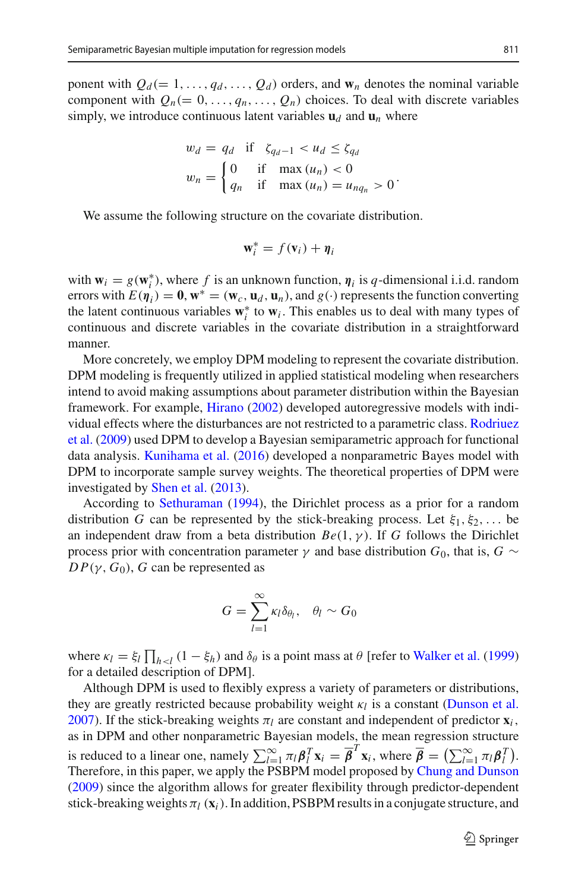ponent with  $Q_d (= 1, \ldots, q_d, \ldots, Q_d)$  orders, and  $w_n$  denotes the nominal variable component with  $Q_n (= 0, \ldots, q_n, \ldots, Q_n)$  choices. To deal with discrete variables simply, we introduce continuous latent variables  $\mathbf{u}_d$  and  $\mathbf{u}_n$  where

$$
w_d = q_d \quad \text{if} \quad \zeta_{q_d-1} < u_d \le \zeta_{q_d}
$$
\n
$$
w_n = \begin{cases} 0 & \text{if} \quad \max(u_n) < 0 \\ q_n & \text{if} \quad \max(u_n) = u_{nq_n} > 0 \end{cases}.
$$

We assume the following structure on the covariate distribution.

$$
\mathbf{w}_i^* = f(\mathbf{v}_i) + \boldsymbol{\eta}_i
$$

with  $\mathbf{w}_i = g(\mathbf{w}_i^*)$ , where *f* is an unknown function,  $\eta_i$  is *q*-dimensional i.i.d. random errors with  $E(\eta_i) = 0$ ,  $\mathbf{w}^* = (\mathbf{w}_c, \mathbf{u}_d, \mathbf{u}_n)$ , and  $g(\cdot)$  represents the function converting the latent continuous variables **w**∗ *<sup>i</sup>* to **w***<sup>i</sup>* . This enables us to deal with many types of continuous and discrete variables in the covariate distribution in a straightforward manner.

More concretely, we employ DPM modeling to represent the covariate distribution. DPM modeling is frequently utilized in applied statistical modeling when researchers intend to avoid making assumptions about parameter distribution within the Bayesian framework. For example, [Hirano](#page-21-10) [\(2002](#page-21-10)) developed autoregressive models with individu[al](#page-22-10) [effects](#page-22-10) [where](#page-22-10) [the](#page-22-10) [disturbances](#page-22-10) [are](#page-22-10) [not](#page-22-10) [restricted](#page-22-10) [to](#page-22-10) [a](#page-22-10) [parametric](#page-22-10) [class.](#page-22-10) Rodriuez et al. [\(2009\)](#page-22-10) used DPM to develop a Bayesian semiparametric approach for functional data analysis. [Kunihama et al.](#page-21-11) [\(2016\)](#page-21-11) developed a nonparametric Bayes model with DPM to incorporate sample survey weights. The theoretical properties of DPM were investigated by [Shen et al.](#page-22-11) [\(2013\)](#page-22-11).

According to [Sethuraman](#page-22-12) [\(1994\)](#page-22-12), the Dirichlet process as a prior for a random distribution *G* can be represented by the stick-breaking process. Let  $\xi_1, \xi_2, \ldots$  be an independent draw from a beta distribution  $Be(1, \gamma)$ . If *G* follows the Dirichlet process prior with concentration parameter  $\gamma$  and base distribution *G*<sub>0</sub>, that is, *G* ∼  $DP(\gamma, G_0)$ , *G* can be represented as

$$
G=\sum_{l=1}^{\infty}\kappa_l\delta_{\theta_l},\quad \theta_l\sim G_0
$$

where  $\kappa_l = \xi_l \prod_{h < l} (1 - \xi_h)$  and  $\delta_\theta$  is a point mass at  $\theta$  [refer to [Walker et al.](#page-22-13) [\(1999\)](#page-22-13) for a detailed description of DPM].

Although DPM is used to flexibly express a variety of parameters or distributions, they are greatly restricted because probability weight κ*l* is a constant [\(Dunson et al.](#page-21-12) [2007\)](#page-21-12). If the stick-breaking weights  $\pi_l$  are constant and independent of predictor  $\mathbf{x}_i$ , as in DPM and other nonparametric Bayesian models, the mean regression structure is reduced to a linear one, namely  $\sum_{i=1}^{\infty} \pi_i \beta_i^T \mathbf{x}_i = \overline{\beta}^T \mathbf{x}_i$ , where  $\overline{\beta} = (\sum_{i=1}^{\infty} \pi_i \beta_i^T)$ . Therefore, in this paper, we apply the PSBPM model proposed by [Chung and Dunson](#page-21-4) [\(2009\)](#page-21-4) since the algorithm allows for greater flexibility through predictor-dependent stick-breaking weights  $\pi_l$  ( $\mathbf{x}_i$ ). In addition, PSBPM results in a conjugate structure, and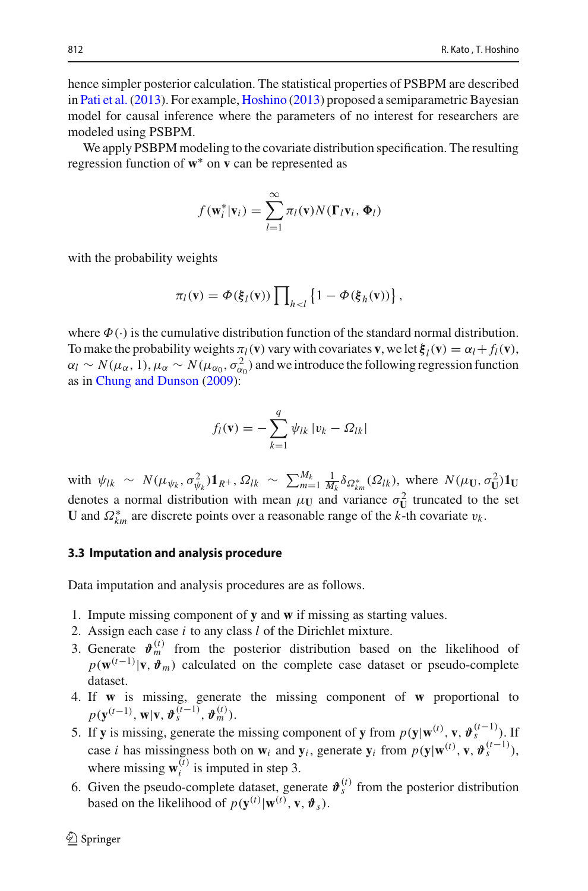hence simpler posterior calculation. The statistical properties of PSBPM are described in [Pati et al.\(2013](#page-22-14)). For example, [Hoshino](#page-21-13) [\(2013](#page-21-13)) proposed a semiparametric Bayesian model for causal inference where the parameters of no interest for researchers are modeled using PSBPM.

We apply PSBPM modeling to the covariate distribution specification. The resulting regression function of **w**∗ on **v** can be represented as

$$
f(\mathbf{w}_i^*|\mathbf{v}_i) = \sum_{l=1}^{\infty} \pi_l(\mathbf{v}) N(\mathbf{\Gamma}_l \mathbf{v}_i, \mathbf{\Phi}_l)
$$

with the probability weights

$$
\pi_l(\mathbf{v}) = \Phi(\xi_l(\mathbf{v})) \prod_{h < l} \left\{ 1 - \Phi(\xi_h(\mathbf{v})) \right\},\,
$$

where  $\Phi(\cdot)$  is the cumulative distribution function of the standard normal distribution. To make the probability weights  $\pi_l(\mathbf{v})$  vary with covariates **v**, we let  $\mathbf{\xi}_l(\mathbf{v}) = \alpha_l + f_l(\mathbf{v})$ ,  $\alpha_l \sim N(\mu_\alpha, 1), \mu_\alpha \sim N(\mu_{\alpha_0}, \sigma_{\alpha_0}^2)$  and we introduce the following regression function as in [Chung and Dunson](#page-21-4) [\(2009](#page-21-4)):

$$
f_l(\mathbf{v}) = -\sum_{k=1}^q \psi_{lk} |v_k - \Omega_{lk}|
$$

with  $\psi_{lk} \sim N(\mu_{\psi_k}, \sigma_{\psi_k}^2) \mathbf{1}_{R^+}, \Omega_{lk} \sim \sum_{m=1}^{M_k} \frac{1}{M_k} \delta_{\Omega_{km}^*}(\Omega_{lk}),$  where  $N(\mu_U, \sigma_U^2) \mathbf{1}_U$ denotes a normal distribution with mean  $\mu_U$  and variance  $\sigma_U^2$  truncated to the set **U** and  $\Omega_{km}^*$  are discrete points over a reasonable range of the *k*-th covariate  $v_k$ .

#### **3.3 Imputation and analysis procedure**

Data imputation and analysis procedures are as follows.

- 1. Impute missing component of **y** and **w** if missing as starting values.
- 2. Assign each case *i* to any class *l* of the Dirichlet mixture.
- 3. Generate  $\mathbf{\hat{v}}_m^{(t)}$  from the posterior distribution based on the likelihood of  $p(\mathbf{w}^{(t-1)}|\mathbf{v}, \boldsymbol{\vartheta}_m)$  calculated on the complete case dataset or pseudo-complete dataset.
- 4. If **w** is missing, generate the missing component of **w** proportional to  $p(\mathbf{y}^{(t-1)}, \mathbf{w} | \mathbf{v}, \boldsymbol{\vartheta}_s^{(t-1)}, \boldsymbol{\vartheta}_m^{(t)}).$
- 5. If **y** is missing, generate the missing component of **y** from  $p(\mathbf{y}|\mathbf{w}^{(t)}, \mathbf{v}, \boldsymbol{\vartheta}_{s}^{(t-1)})$ . case *i* has missingness both on  $\mathbf{w}_i$  and  $\mathbf{y}_i$ , generate  $\mathbf{y}_i$  from  $p(\mathbf{y}|\mathbf{w}^{(t)}, \mathbf{v}, \boldsymbol{\vartheta}_s^{(t-1)})$ , where missing  $\mathbf{w}_i^{(t)}$  is imputed in step 3.
- 6. Given the pseudo-complete dataset, generate  $\mathbf{\hat{v}}_s^{(t)}$  from the posterior distribution based on the likelihood of  $p(\mathbf{y}^{(t)} | \mathbf{w}^{(t)}, \mathbf{v}, \mathbf{\vartheta}_s)$ .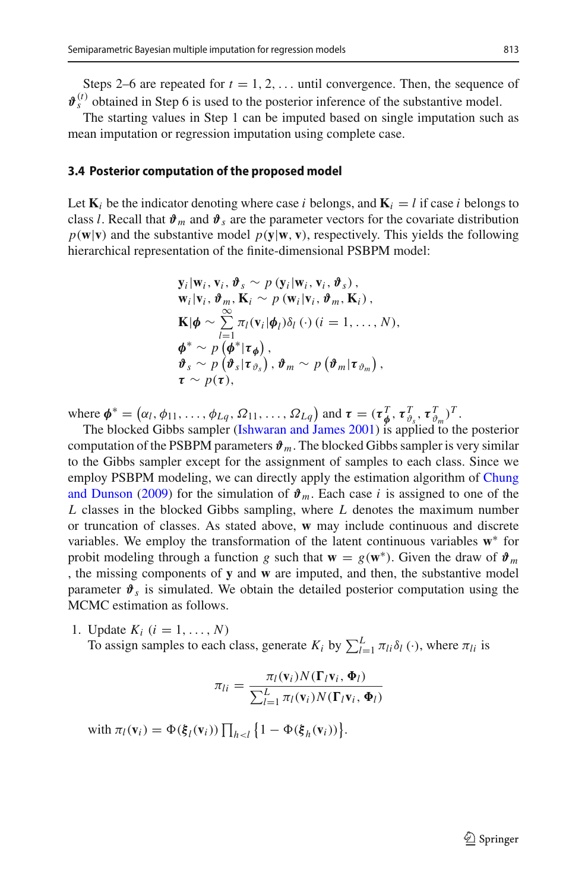The starting values in Step 1 can be imputed based on single imputation such as mean imputation or regression imputation using complete case.

#### **3.4 Posterior computation of the proposed model**

Let  $\mathbf{K}_i$  be the indicator denoting where case *i* belongs, and  $\mathbf{K}_i = l$  if case *i* belongs to class *l*. Recall that  $\mathbf{\hat{v}}_m$  and  $\mathbf{\hat{v}}_s$  are the parameter vectors for the covariate distribution  $p(\mathbf{w}|\mathbf{v})$  and the substantive model  $p(\mathbf{y}|\mathbf{w}, \mathbf{v})$ , respectively. This yields the following hierarchical representation of the finite-dimensional PSBPM model:

$$
\mathbf{y}_i|\mathbf{w}_i, \mathbf{v}_i, \boldsymbol{\vartheta}_s \sim p(\mathbf{y}_i|\mathbf{w}_i, \mathbf{v}_i, \boldsymbol{\vartheta}_s),\n\mathbf{w}_i|\mathbf{v}_i, \boldsymbol{\vartheta}_m, \mathbf{K}_i \sim p(\mathbf{w}_i|\mathbf{v}_i, \boldsymbol{\vartheta}_m, \mathbf{K}_i),\n\mathbf{K}|\boldsymbol{\phi} \sim \sum_{l=1}^{\infty} \pi_l(\mathbf{v}_i|\boldsymbol{\phi}_l)\delta_l(\cdot) (i = 1, ..., N),\n\boldsymbol{\varphi}^* \sim p(\boldsymbol{\varphi}^*|\boldsymbol{\tau}_{\boldsymbol{\varphi}}),\n\boldsymbol{\vartheta}_s \sim p(\boldsymbol{\vartheta}_s|\boldsymbol{\tau}_{\boldsymbol{\vartheta}_s}), \boldsymbol{\vartheta}_m \sim p(\boldsymbol{\vartheta}_m|\boldsymbol{\tau}_{\boldsymbol{\vartheta}_m}),\n\boldsymbol{\tau} \sim p(\boldsymbol{\tau}),
$$

where  $\boldsymbol{\phi}^* = (\alpha_l, \phi_{11}, \dots, \phi_{Lq}, \Omega_{11}, \dots, \Omega_{Lq})$  and  $\boldsymbol{\tau} = (\boldsymbol{\tau}_{\boldsymbol{\phi}}^T, \boldsymbol{\tau}_{\vartheta_s}^T, \boldsymbol{\tau}_{\vartheta_m}^T)^T$ .

The blocked Gibbs sampler [\(Ishwaran and James 2001\)](#page-21-14) is applied to the posterior computation of the PSBPM parameters  $\mathbf{\hat{v}}_m$ . The blocked Gibbs sampler is very similar to the Gibbs sampler except for the assignment of samples to each class. Since we employ PS[BPM](#page-21-4) [modeling,](#page-21-4) [we](#page-21-4) [can](#page-21-4) [directly](#page-21-4) [apply](#page-21-4) [the](#page-21-4) [estimation](#page-21-4) [algorithm](#page-21-4) [of](#page-21-4) Chung and Dunson [\(2009\)](#page-21-4) for the simulation of  $\mathbf{\hat{v}}_m$ . Each case *i* is assigned to one of the *L* classes in the blocked Gibbs sampling, where *L* denotes the maximum number or truncation of classes. As stated above, **w** may include continuous and discrete variables. We employ the transformation of the latent continuous variables **w**∗ for probit modeling through a function *g* such that  $\mathbf{w} = g(\mathbf{w}^*)$ . Given the draw of  $\mathbf{\hat{v}}_m$ , the missing components of **y** and **w** are imputed, and then, the substantive model parameter  $\mathbf{\hat{v}}_s$  is simulated. We obtain the detailed posterior computation using the MCMC estimation as follows.

1. Update  $K_i$   $(i = 1, ..., N)$ 

To assign samples to each class, generate  $K_i$  by  $\sum_{l=1}^{L} \pi_{li} \delta_l(\cdot)$ , where  $\pi_{li}$  is

$$
\pi_{li} = \frac{\pi_l(\mathbf{v}_i) N(\mathbf{\Gamma}_l \mathbf{v}_i, \mathbf{\Phi}_l)}{\sum_{l=1}^L \pi_l(\mathbf{v}_i) N(\mathbf{\Gamma}_l \mathbf{v}_i, \mathbf{\Phi}_l)}
$$

with  $\pi_l(\mathbf{v}_i) = \Phi(\xi_l(\mathbf{v}_i)) \prod_{h \le l} \{1 - \Phi(\xi_h(\mathbf{v}_i))\}.$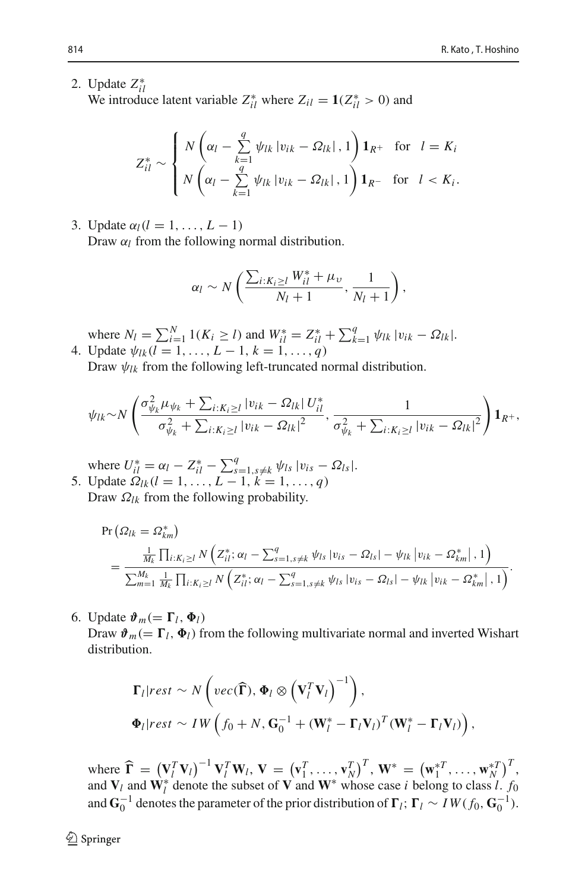2. Update *Z*∗ *il*

We introduce latent variable  $Z_{il}^*$  where  $Z_{il} = \mathbf{1}(Z_{il}^* > 0)$  and

$$
Z_{il}^* \sim \begin{cases} N\left(\alpha_l - \sum_{k=1}^q \psi_{lk} |v_{ik} - \Omega_{lk}|, 1\right) \mathbf{1}_{R^+} & \text{for } l = K_i\\ N\left(\alpha_l - \sum_{k=1}^q \psi_{lk} |v_{ik} - \Omega_{lk}|, 1\right) \mathbf{1}_{R^-} & \text{for } l < K_i. \end{cases}
$$

3. Update  $\alpha_l(l = 1, \ldots, L - 1)$ 

Draw  $\alpha_l$  from the following normal distribution.

$$
\alpha_l \sim N\left(\frac{\sum_{i:K_i\geq l}W_{il}^* + \mu_v}{N_l+1},\frac{1}{N_l+1}\right),\,
$$

where  $N_l = \sum_{i=1}^{N} 1(K_i \ge l)$  and  $W_{il}^* = Z_{il}^* + \sum_{k=1}^{q} \psi_{lk} |v_{ik} - \Omega_{lk}|$ . 4. Update  $\psi_{lk}$  ( $l = 1, ..., L - 1, k = 1, ..., q$ )

Draw  $\psi_{lk}$  from the following left-truncated normal distribution.

$$
\psi_{lk} \sim N \left( \frac{\sigma_{\psi_k}^2 \mu_{\psi_k} + \sum_{i:K_i \geq l} |v_{ik} - \Omega_{lk}| U_{il}^*}{\sigma_{\psi_k}^2 + \sum_{i:K_i \geq l} |v_{ik} - \Omega_{lk}|^2}, \frac{1}{\sigma_{\psi_k}^2 + \sum_{i:K_i \geq l} |v_{ik} - \Omega_{lk}|^2} \right) \mathbf{1}_{R^+},
$$

where  $U_{i1}^{*} = \alpha_l - Z_{i1}^{*} - \sum_{s=1, s \neq k}^{q} \psi_{ls} |v_{is} - \Omega_{ls}|.$ 5. Update  $\Omega_{lk}$  (*l* = 1, ..., *L* − 1, *k* = 1, ..., *q*)

Draw  $\Omega_{lk}$  from the following probability.

$$
\Pr\left(\Omega_{lk} = \Omega_{km}^*\right) \\
= \frac{\frac{1}{M_k} \prod_{i: K_i \geq l} N\left(Z_{il}^*; \alpha_l - \sum_{s=1, s \neq k}^q \psi_{ls} | v_{is} - \Omega_{ls} | - \psi_{lk} | v_{ik} - \Omega_{km}^* |, 1\right)}{\sum_{m=1}^{M_k} \frac{1}{M_k} \prod_{i: K_i \geq l} N\left(Z_{il}^*; \alpha_l - \sum_{s=1, s \neq k}^q \psi_{ls} | v_{is} - \Omega_{ls} | - \psi_{lk} | v_{ik} - \Omega_{km}^* |, 1\right)}.
$$

6. Update  $\mathbf{\hat{v}}_m (= \mathbf{\Gamma}_l, \mathbf{\Phi}_l)$ 

Draw  $\mathbf{\hat{v}}_m (= \mathbf{\Gamma}_l, \mathbf{\Phi}_l)$  from the following multivariate normal and inverted Wishart distribution.

$$
\Gamma_l\vert rest \sim N\left(\text{vec}(\widehat{\boldsymbol{\Gamma}}), \boldsymbol{\Phi}_l \otimes (\mathbf{V}_l^T \mathbf{V}_l)^{-1}\right),
$$
  

$$
\boldsymbol{\Phi}_l\vert rest \sim IW\left(f_0 + N, \mathbf{G}_0^{-1} + (\mathbf{W}_l^* - \mathbf{\Gamma}_l \mathbf{V}_l)^T (\mathbf{W}_l^* - \mathbf{\Gamma}_l \mathbf{V}_l)\right),
$$

where  $\widehat{\mathbf{\Gamma}} = (\mathbf{V}_l^T \mathbf{V}_l)^{-1} \mathbf{V}_l^T \mathbf{W}_l$ ,  $\mathbf{V} = (\mathbf{v}_1^T, \dots, \mathbf{v}_N^T)^T$ ,  $\mathbf{W}^* = (\mathbf{w}_1^*^T, \dots, \mathbf{w}_N^*)^T$ and  $V_l$  and  $W_l^*$  denote the subset of V and  $W^*$  whose case *i* belong to class *l*.  $f_0$ and  $\mathbf{G}_0^{-1}$  denotes the parameter of the prior distribution of  $\mathbf{\Gamma}_l$ ;  $\mathbf{\Gamma}_l \sim IW(f_0, \mathbf{G}_0^{-1})$ .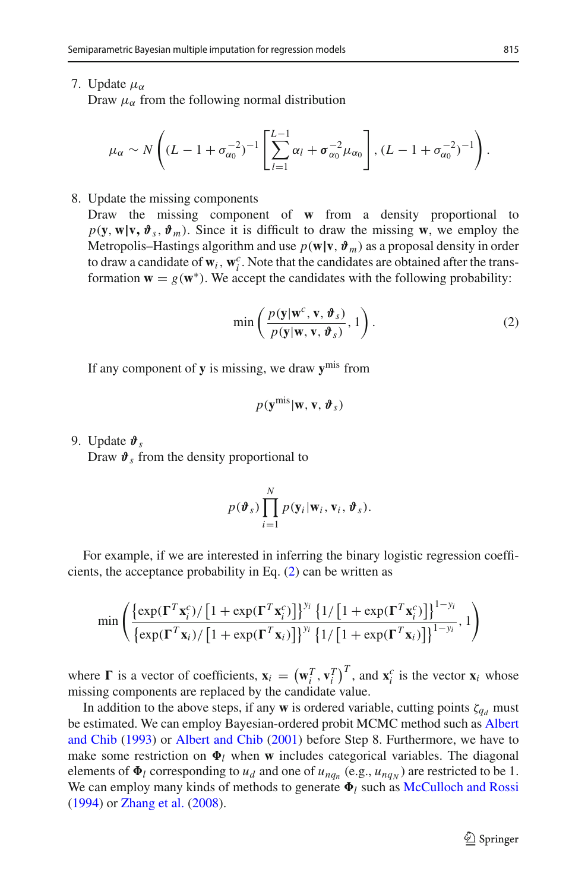7. Update  $\mu_{\alpha}$ 

Draw  $\mu_{\alpha}$  from the following normal distribution

$$
\mu_{\alpha} \sim N\left((L - 1 + \sigma_{\alpha_0}^{-2})^{-1}\left[\sum_{l=1}^{L-1} \alpha_l + \sigma_{\alpha_0}^{-2} \mu_{\alpha_0}\right], (L - 1 + \sigma_{\alpha_0}^{-2})^{-1}\right).
$$

#### 8. Update the missing components

Draw the missing component of **w** from a density proportional to  $p(\mathbf{y}, \mathbf{w} | \mathbf{v}, \vartheta_s, \vartheta_m)$ . Since it is difficult to draw the missing **w**, we employ the Metropolis–Hastings algorithm and use  $p(\mathbf{w}|\mathbf{v}, \boldsymbol{\vartheta}_m)$  as a proposal density in order to draw a candidate of  $w_i$ ,  $w_i^c$ . Note that the candidates are obtained after the transformation  $\mathbf{w} = g(\mathbf{w}^*)$ . We accept the candidates with the following probability:

<span id="page-12-0"></span>
$$
\min\left(\frac{p(\mathbf{y}|\mathbf{w}^c, \mathbf{v}, \boldsymbol{\vartheta}_s)}{p(\mathbf{y}|\mathbf{w}, \mathbf{v}, \boldsymbol{\vartheta}_s)}, 1\right). \tag{2}
$$

If any component of **y** is missing, we draw **y**mis from

$$
p(\mathbf{y}^{\text{mis}}|\mathbf{w}, \mathbf{v}, \boldsymbol{\vartheta}_s)
$$

9. Update *ϑ<sup>s</sup>*

Draw  $\mathbf{\hat{v}}_s$  from the density proportional to

$$
p(\boldsymbol{\vartheta}_s)\prod_{i=1}^N p(\mathbf{y}_i|\mathbf{w}_i,\mathbf{v}_i,\boldsymbol{\vartheta}_s).
$$

For example, if we are interested in inferring the binary logistic regression coefficients, the acceptance probability in Eq. [\(2\)](#page-12-0) can be written as

$$
\min\left(\frac{\left\{\exp(\mathbf{\Gamma}^T\mathbf{x}_i^c)/\left[1+\exp(\mathbf{\Gamma}^T\mathbf{x}_i^c)\right]\right\}^{y_i}\left\{1/\left[1+\exp(\mathbf{\Gamma}^T\mathbf{x}_i^c)\right]\right\}^{1-y_i}}{\left\{\exp(\mathbf{\Gamma}^T\mathbf{x}_i)/\left[1+\exp(\mathbf{\Gamma}^T\mathbf{x}_i)\right]\right\}^{y_i}\left\{1/\left[1+\exp(\mathbf{\Gamma}^T\mathbf{x}_i)\right]\right\}^{1-y_i}}, 1\right)}
$$

where  $\Gamma$  is a vector of coefficients,  $\mathbf{x}_i = (\mathbf{w}_i^T, \mathbf{v}_i^T)^T$ , and  $\mathbf{x}_i^c$  is the vector  $\mathbf{x}_i$  whose missing components are replaced by the candidate value.

In addition to the above steps, if any **w** is ordered variable, cutting points  $\zeta_{d}$  must be estim[ated.](#page-21-15) [We](#page-21-15) [can](#page-21-15) [employ](#page-21-15) [Bayesian-ordered](#page-21-15) [probit](#page-21-15) [MCMC](#page-21-15) [method](#page-21-15) [such](#page-21-15) [as](#page-21-15) Albert and Chib [\(1993\)](#page-21-15) or [Albert and Chib](#page-21-16) [\(2001\)](#page-21-16) before Step 8. Furthermore, we have to make some restriction on  $\Phi_l$  when **w** includes categorical variables. The diagonal elements of  $\Phi_l$  corresponding to  $u_d$  and one of  $u_{nq_n}$  (e.g.,  $u_{nq_N}$ ) are restricted to be 1. We can employ many kinds of methods to generate  $\Phi_l$  such as [McCulloch and Rossi](#page-22-15) [\(1994\)](#page-22-15) or [Zhang et al.](#page-22-16) [\(2008\)](#page-22-16).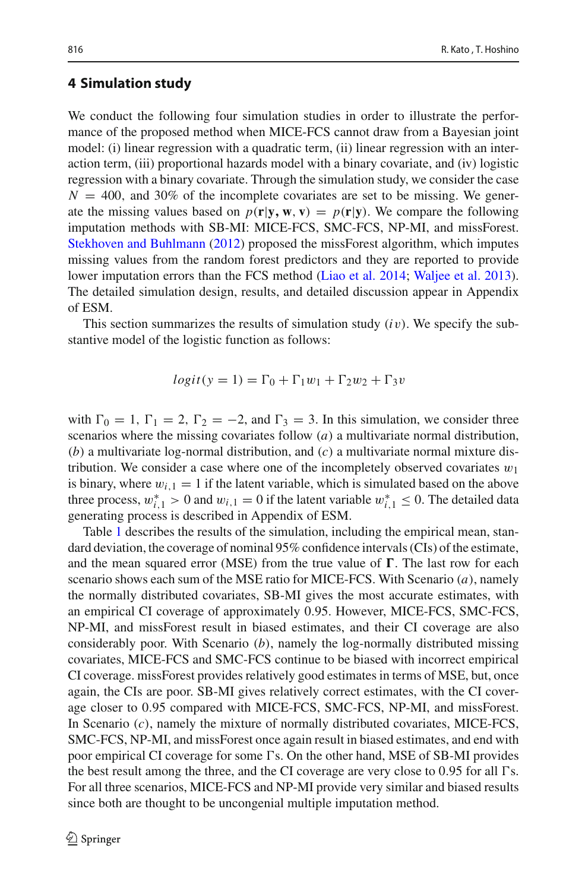## <span id="page-13-0"></span>**4 Simulation study**

We conduct the following four simulation studies in order to illustrate the performance of the proposed method when MICE-FCS cannot draw from a Bayesian joint model: (i) linear regression with a quadratic term, (ii) linear regression with an interaction term, (iii) proportional hazards model with a binary covariate, and (iv) logistic regression with a binary covariate. Through the simulation study, we consider the case  $N = 400$ , and 30% of the incomplete covariates are set to be missing. We generate the missing values based on  $p(\mathbf{r}|\mathbf{y}, \mathbf{w}, \mathbf{v}) = p(\mathbf{r}|\mathbf{y})$ . We compare the following imputation methods with SB-MI: MICE-FCS, SMC-FCS, NP-MI, and missForest. [Stekhoven and Buhlmann](#page-22-17) [\(2012\)](#page-22-17) proposed the missForest algorithm, which imputes missing values from the random forest predictors and they are reported to provide lower imputation errors than the FCS method [\(Liao et al. 2014;](#page-21-17) [Waljee et al. 2013](#page-22-18)). The detailed simulation design, results, and detailed discussion appear in Appendix of ESM.

This section summarizes the results of simulation study (*i*v). We specify the substantive model of the logistic function as follows:

$$
logit(y = 1) = \Gamma_0 + \Gamma_1 w_1 + \Gamma_2 w_2 + \Gamma_3 v
$$

with  $\Gamma_0 = 1$ ,  $\Gamma_1 = 2$ ,  $\Gamma_2 = -2$ , and  $\Gamma_3 = 3$ . In this simulation, we consider three scenarios where the missing covariates follow (*a*) a multivariate normal distribution, (*b*) a multivariate log-normal distribution, and (*c*) a multivariate normal mixture distribution. We consider a case where one of the incompletely observed covariates  $w_1$ is binary, where  $w_{i,1} = 1$  if the latent variable, which is simulated based on the above three process,  $w_{i,1}^* > 0$  and  $w_{i,1} = 0$  if the latent variable  $w_{i,1}^* \leq 0$ . The detailed data generating process is described in Appendix of ESM.

Table [1](#page-14-0) describes the results of the simulation, including the empirical mean, standard deviation, the coverage of nominal 95% confidence intervals (CIs) of the estimate, and the mean squared error (MSE) from the true value of  $\Gamma$ . The last row for each scenario shows each sum of the MSE ratio for MICE-FCS. With Scenario (*a*), namely the normally distributed covariates, SB-MI gives the most accurate estimates, with an empirical CI coverage of approximately 0.95. However, MICE-FCS, SMC-FCS, NP-MI, and missForest result in biased estimates, and their CI coverage are also considerably poor. With Scenario (*b*), namely the log-normally distributed missing covariates, MICE-FCS and SMC-FCS continue to be biased with incorrect empirical CI coverage. missForest provides relatively good estimates in terms of MSE, but, once again, the CIs are poor. SB-MI gives relatively correct estimates, with the CI coverage closer to 0.95 compared with MICE-FCS, SMC-FCS, NP-MI, and missForest. In Scenario (*c*), namely the mixture of normally distributed covariates, MICE-FCS, SMC-FCS, NP-MI, and missForest once again result in biased estimates, and end with poor empirical CI coverage for some  $\Gamma$ s. On the other hand, MSE of SB-MI provides the best result among the three, and the CI coverage are very close to  $0.95$  for all  $\Gamma$ s. For all three scenarios, MICE-FCS and NP-MI provide very similar and biased results since both are thought to be uncongenial multiple imputation method.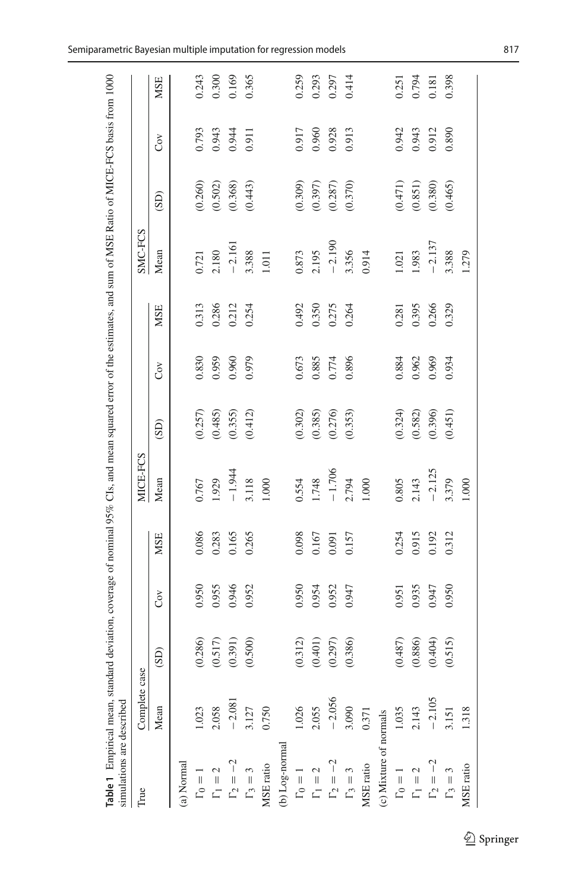<span id="page-14-0"></span>

| Table 1 Empirical mean, standard deviation, coverage of nominal 95% CIs, and mean squared error of the estimates, and sum of MSE Ratio of MICE-FCS basis from 1000<br>simulations are described |               |         |       |            |           |         |           |            |          |                        |           |       |
|-------------------------------------------------------------------------------------------------------------------------------------------------------------------------------------------------|---------------|---------|-------|------------|-----------|---------|-----------|------------|----------|------------------------|-----------|-------|
| True                                                                                                                                                                                            | Complete case |         |       |            | MICE-FCS  |         |           |            | SMC-FCS  |                        |           |       |
|                                                                                                                                                                                                 | Mean          | (GS)    | Cov   | <b>MSE</b> | Mean      | (SD)    | $\rm Cov$ | <b>MSE</b> | Mean     | (SD)                   | $\rm Cov$ | MSE   |
| (a) Normal                                                                                                                                                                                      |               |         |       |            |           |         |           |            |          |                        |           |       |
| $\Gamma_0 = 1$                                                                                                                                                                                  |               | (0.286) | 0.950 | 0.086      | 0.767     | (0.257) | 0.830     | 0.313      | 0.721    | (0.260)                | 0.793     | 0.243 |
| $\Gamma_1 = 2$                                                                                                                                                                                  | 2.058         | (0.517) | 0.955 | 0.283      | 1.929     | (0.485) | 0.959     | 0.286      | 2.180    | (0.502)                | 0.943     | 0.300 |
| $\Gamma_2 = -$                                                                                                                                                                                  | $-2.081$      | (0.391) | 0.946 | 0.165      | $-1.944$  | (0.355) | 0.960     | 0.212      | $-2.161$ | (0.368)                | 0.944     | 0.169 |
| $\Gamma_3=3$                                                                                                                                                                                    | 3.127         | (0.500) | 0.952 | 0.265      | 3.118     | (0.412) | 0.979     | 0.254      | 3.388    | (0.443)                | 0.911     | 0.365 |
| MSE ratio                                                                                                                                                                                       | 0.750         |         |       |            | 1.000     |         |           |            | 1.011    |                        |           |       |
| (b) Log-normal                                                                                                                                                                                  |               |         |       |            |           |         |           |            |          |                        |           |       |
| $\Gamma_0 = 1$                                                                                                                                                                                  | 1.026         | (0.312) | 0.950 | 0.098      | 0.554     | (0.302) | 0.673     | 0.492      | 0.873    | (0.309)                | 0.917     | 0.259 |
| $\Gamma_1 = 2$                                                                                                                                                                                  | 2.055         | (0.401) | 0.954 | $0.167\,$  | 1.748     | (0.385) | 0.885     | 0.350      | 2.195    | (0.397)                | 0.960     | 0.293 |
| $\Gamma_2 =$                                                                                                                                                                                    | $-2.056$      | (0.297) | 0.952 | 0.091      | $-1.706$  | (0.276) | 0.774     | 0.275      | $-2.190$ | (0.287)                | 0.928     | 0.297 |
| $\Gamma_3=3$                                                                                                                                                                                    | 3.090         | (0.386) | 0.947 | 0.157      | 2.794     | (0.353) | 0.896     | 0.264      | 3.356    | (0.370)                | 0.913     | 0.414 |
| MSE ratio                                                                                                                                                                                       | 0.371         |         |       |            | 1.000     |         |           |            | 0.914    |                        |           |       |
| (c) Mixture of normals                                                                                                                                                                          |               |         |       |            |           |         |           |            |          |                        |           |       |
| $\Gamma_0 = 1$                                                                                                                                                                                  | 1.035         | (0.487) | 0.951 | 0.254      | $0.805\,$ | (0.324) | 0.884     | 0.281      | 1.021    |                        | 0.942     | 0.251 |
| $\overline{L}$                                                                                                                                                                                  | 2.143         | (0.886) | 0.935 | 0.915      | 2.143     | (0.582) | 0.962     | 0.395      | 1.983    | $(0.471)$<br>$(0.851)$ | 0.943     | 0.794 |
| $\Gamma_2 = -2$                                                                                                                                                                                 | $-2.105$      | (0.404) | 0.947 | 0.192      | $-2.125$  | (0.396) | 0.969     | 0.266      | $-2.137$ | (0.380)                | 0.912     | 0.181 |
| $\Gamma_3=3$                                                                                                                                                                                    | 3.151         | (0.515) | 0.950 | 0.312      | 3.379     | (0.451) | 0.934     | 0.329      | 3.388    | (0.465)                | 0.890     | 0.398 |
| MSE ratio                                                                                                                                                                                       | 1.318         |         |       |            | 1.000     |         |           |            | 1.279    |                        |           |       |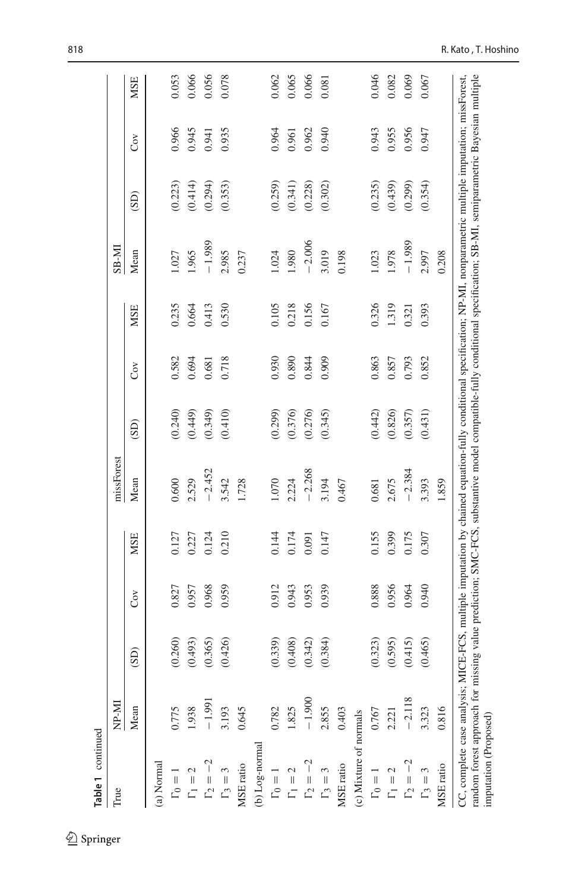| Table 1 continued                                       |          |         |       |            |                                                                                                                                                                                                                                                                                                               |         |       |            |              |         |       |            |
|---------------------------------------------------------|----------|---------|-------|------------|---------------------------------------------------------------------------------------------------------------------------------------------------------------------------------------------------------------------------------------------------------------------------------------------------------------|---------|-------|------------|--------------|---------|-------|------------|
| True                                                    | NP-MI    |         |       |            | missForest                                                                                                                                                                                                                                                                                                    |         |       |            | <b>IN-8S</b> |         |       |            |
|                                                         | Mean     | (SD)    | Čον   | <b>MSE</b> | Mean                                                                                                                                                                                                                                                                                                          | (SD)    | Čον   | <b>MSE</b> | Mean         | (SD)    | Ğν    | <b>MSE</b> |
| (a) Normal                                              |          |         |       |            |                                                                                                                                                                                                                                                                                                               |         |       |            |              |         |       |            |
| $\Gamma_0=1$                                            |          | (0.260) | 0.827 | 0.127      | 0.600                                                                                                                                                                                                                                                                                                         | (0.240) | 0.582 | 0.235      | 1.027        | (0.223) | 0.966 | 0.053      |
| $\Gamma_1 = 2$                                          | 1.938    | (0.493) | 0.957 | 0.227      | 2.529                                                                                                                                                                                                                                                                                                         | (0.449) | 0.694 | 0.664      | 1.965        | (0.414) | 0.945 | 0.066      |
| $\Gamma_2 = -2$                                         | $-1.991$ | (0.365) | 0.968 | 0.124      | $-2.452$                                                                                                                                                                                                                                                                                                      | (0.349) | 0.681 | 0.413      | $-1.989$     | (0.294) | 0.941 | 0.056      |
| $\Gamma_3=3$                                            | 3.193    | (0.426) | 0.959 | 0.210      | 3.542                                                                                                                                                                                                                                                                                                         | (0.410) | 0.718 | 0.530      | 2.985        | (0.353) | 0.935 | 0.078      |
| <b>ASE</b> ratio                                        | 0.645    |         |       |            | 1.728                                                                                                                                                                                                                                                                                                         |         |       |            | 0.237        |         |       |            |
| (b) Log-normal                                          |          |         |       |            |                                                                                                                                                                                                                                                                                                               |         |       |            |              |         |       |            |
| $\Gamma_0=1$                                            | 0.782    | (0.339) | 0.912 | 0.144      | 070                                                                                                                                                                                                                                                                                                           | (0.299) | 0.930 | 0.105      | 1.024        | (0.259) | 0.964 | 0.062      |
| $\Gamma_1=2$                                            | 1.825    | (0.408) | 0.943 | 0.174      | 2.224                                                                                                                                                                                                                                                                                                         | (0.376) | 0.890 | 0.218      | 1.980        | (0.341) | 0.961 | 0.065      |
| $\Gamma_2=-2$                                           | $-1.900$ | (0.342) | 0.953 | 0.091      | $-2.268$                                                                                                                                                                                                                                                                                                      | (0.276) | 0.844 | 0.156      | $-2.006$     | (0.228) | 0.962 | 0.066      |
| $\Gamma_3=3$                                            | 2.855    | (0.384) | 0.939 | 0.147      | 3.194                                                                                                                                                                                                                                                                                                         | (0.345) | 0.909 | 0.167      | 3.019        | (0.302) | 0.940 | 0.081      |
| <b>MSE</b> ratio                                        | 0.403    |         |       |            | 0.467                                                                                                                                                                                                                                                                                                         |         |       |            | 0.198        |         |       |            |
| c) Mixture of normals                                   |          |         |       |            |                                                                                                                                                                                                                                                                                                               |         |       |            |              |         |       |            |
| $\Gamma_0 = 1$                                          | 0.767    | (0.323) | 0.888 | 0.155      | 0.681                                                                                                                                                                                                                                                                                                         | (0.442) | 0.863 | 0.326      | 1.023        | (0.235) | 0.943 | 0.046      |
| $\Gamma_1=2$                                            | 2.221    | (0.595) | 0.956 | 0.399      | 2.675                                                                                                                                                                                                                                                                                                         | (0.826) | 0.857 | 1.319      | 1.978        | (0.439) | 0.955 | 0.082      |
| $\Gamma_2=-2$                                           | $-2.118$ | (0.415) | 0.964 | 0.175      | $-2.384$                                                                                                                                                                                                                                                                                                      | (0.357) | 0.793 | 0.321      | $-1.989$     | (0.299) | 0.956 | 0.069      |
| $\Gamma_3=3$                                            | 3.323    | (0.465) | 0.940 | 0.307      | 3.393                                                                                                                                                                                                                                                                                                         | (0.431) | 0.852 | 0.393      | 2.997        | (0.354) | 0.947 | 0.067      |
| MSE ratio                                               | 0.816    |         |       |            | 1.859                                                                                                                                                                                                                                                                                                         |         |       |            | 0.208        |         |       |            |
| CC, complete case analysis; MI<br>imputation (Proposed) |          |         |       |            | random forest approach for missing value prediction; SMC-FCS, substantive model compatible-fully conditional specification; SB-MI, semiparametric Bayesian multiple<br>CE-FCS, multiple imputation by chained equation-fully conditional specification; NP-MI, nonparametric multiple imputation; missForest, |         |       |            |              |         |       |            |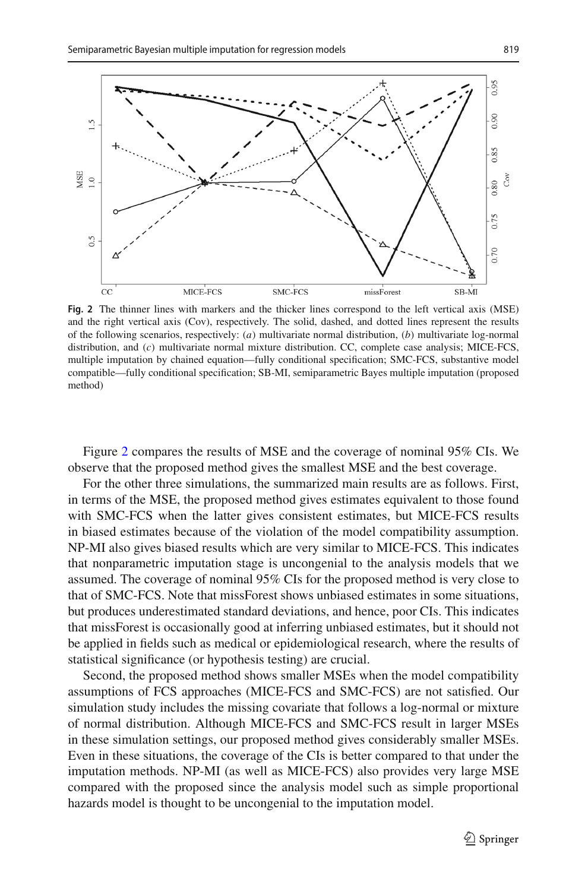

<span id="page-16-0"></span>**Fig. 2** The thinner lines with markers and the thicker lines correspond to the left vertical axis (MSE) and the right vertical axis (Cov), respectively. The solid, dashed, and dotted lines represent the results of the following scenarios, respectively: (*a*) multivariate normal distribution, (*b*) multivariate log-normal distribution, and (*c*) multivariate normal mixture distribution. CC, complete case analysis; MICE-FCS, multiple imputation by chained equation—fully conditional specification; SMC-FCS, substantive model compatible—fully conditional specification; SB-MI, semiparametric Bayes multiple imputation (proposed method)

Figure [2](#page-16-0) compares the results of MSE and the coverage of nominal 95% CIs. We observe that the proposed method gives the smallest MSE and the best coverage.

For the other three simulations, the summarized main results are as follows. First, in terms of the MSE, the proposed method gives estimates equivalent to those found with SMC-FCS when the latter gives consistent estimates, but MICE-FCS results in biased estimates because of the violation of the model compatibility assumption. NP-MI also gives biased results which are very similar to MICE-FCS. This indicates that nonparametric imputation stage is uncongenial to the analysis models that we assumed. The coverage of nominal 95% CIs for the proposed method is very close to that of SMC-FCS. Note that missForest shows unbiased estimates in some situations, but produces underestimated standard deviations, and hence, poor CIs. This indicates that missForest is occasionally good at inferring unbiased estimates, but it should not be applied in fields such as medical or epidemiological research, where the results of statistical significance (or hypothesis testing) are crucial.

Second, the proposed method shows smaller MSEs when the model compatibility assumptions of FCS approaches (MICE-FCS and SMC-FCS) are not satisfied. Our simulation study includes the missing covariate that follows a log-normal or mixture of normal distribution. Although MICE-FCS and SMC-FCS result in larger MSEs in these simulation settings, our proposed method gives considerably smaller MSEs. Even in these situations, the coverage of the CIs is better compared to that under the imputation methods. NP-MI (as well as MICE-FCS) also provides very large MSE compared with the proposed since the analysis model such as simple proportional hazards model is thought to be uncongenial to the imputation model.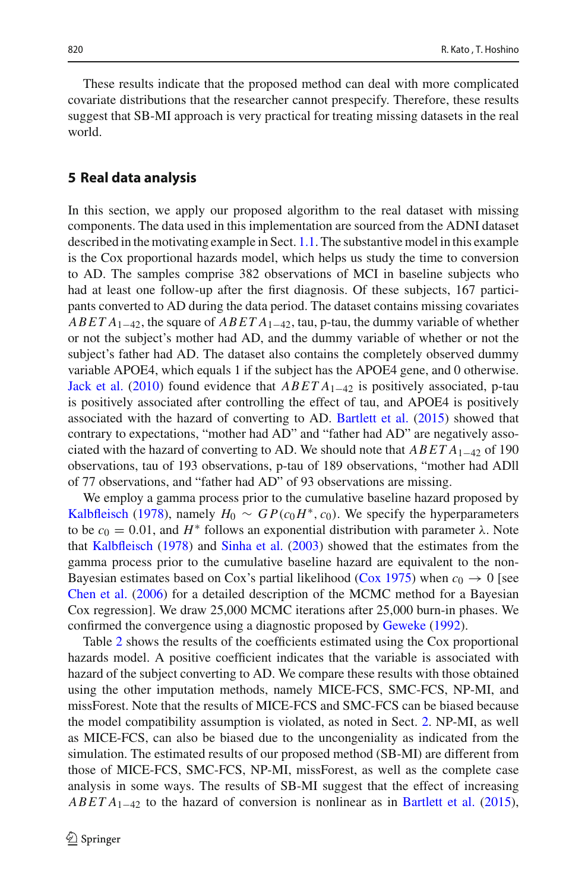These results indicate that the proposed method can deal with more complicated covariate distributions that the researcher cannot prespecify. Therefore, these results suggest that SB-MI approach is very practical for treating missing datasets in the real world.

## <span id="page-17-0"></span>**5 Real data analysis**

In this section, we apply our proposed algorithm to the real dataset with missing components. The data used in this implementation are sourced from the ADNI dataset described in the motivating example in Sect. [1.1.](#page-2-1) The substantive model in this example is the Cox proportional hazards model, which helps us study the time to conversion to AD. The samples comprise 382 observations of MCI in baseline subjects who had at least one follow-up after the first diagnosis. Of these subjects, 167 participants converted to AD during the data period. The dataset contains missing covariates *ABET A*1−42, the square of *ABET A*1−42, tau, p-tau, the dummy variable of whether or not the subject's mother had AD, and the dummy variable of whether or not the subject's father had AD. The dataset also contains the completely observed dummy variable APOE4, which equals 1 if the subject has the APOE4 gene, and 0 otherwise. [Jack et al.](#page-21-3) [\(2010](#page-21-3)) found evidence that *ABET A*1−<sup>42</sup> is positively associated, p-tau is positively associated after controlling the effect of tau, and APOE4 is positively associated with the hazard of converting to AD. [Bartlett et al.](#page-21-2) [\(2015](#page-21-2)) showed that contrary to expectations, "mother had AD" and "father had AD" are negatively associated with the hazard of converting to AD. We should note that *ABET A*1−<sup>42</sup> of 190 observations, tau of 193 observations, p-tau of 189 observations, "mother had ADll of 77 observations, and "father had AD" of 93 observations are missing.

We employ a gamma process prior to the cumulative baseline hazard proposed by [Kalbfleisch](#page-21-18) [\(1978\)](#page-21-18), namely  $H_0 \sim GP(c_0H^*, c_0)$ . We specify the hyperparameters to be  $c_0 = 0.01$ , and  $H^*$  follows an exponential distribution with parameter  $\lambda$ . Note that [Kalbfleisch](#page-21-18) [\(1978](#page-21-18)) and [Sinha et al.](#page-22-19) [\(2003](#page-22-19)) showed that the estimates from the gamma process prior to the cumulative baseline hazard are equivalent to the non-Bayesian estimates based on Cox's partial likelihood [\(Cox 1975\)](#page-21-19) when  $c_0 \rightarrow 0$  [see [Chen et al.](#page-21-20) [\(2006\)](#page-21-20) for a detailed description of the MCMC method for a Bayesian Cox regression]. We draw 25,000 MCMC iterations after 25,000 burn-in phases. We confirmed the convergence using a diagnostic proposed by [Geweke](#page-21-21) [\(1992](#page-21-21)).

Table [2](#page-19-0) shows the results of the coefficients estimated using the Cox proportional hazards model. A positive coefficient indicates that the variable is associated with hazard of the subject converting to AD. We compare these results with those obtained using the other imputation methods, namely MICE-FCS, SMC-FCS, NP-MI, and missForest. Note that the results of MICE-FCS and SMC-FCS can be biased because the model compatibility assumption is violated, as noted in Sect. [2.](#page-5-1) NP-MI, as well as MICE-FCS, can also be biased due to the uncongeniality as indicated from the simulation. The estimated results of our proposed method (SB-MI) are different from those of MICE-FCS, SMC-FCS, NP-MI, missForest, as well as the complete case analysis in some ways. The results of SB-MI suggest that the effect of increasing *ABET A*<sub>1−42</sub> to the hazard of conversion is nonlinear as in [Bartlett et al.](#page-21-2) [\(2015](#page-21-2)),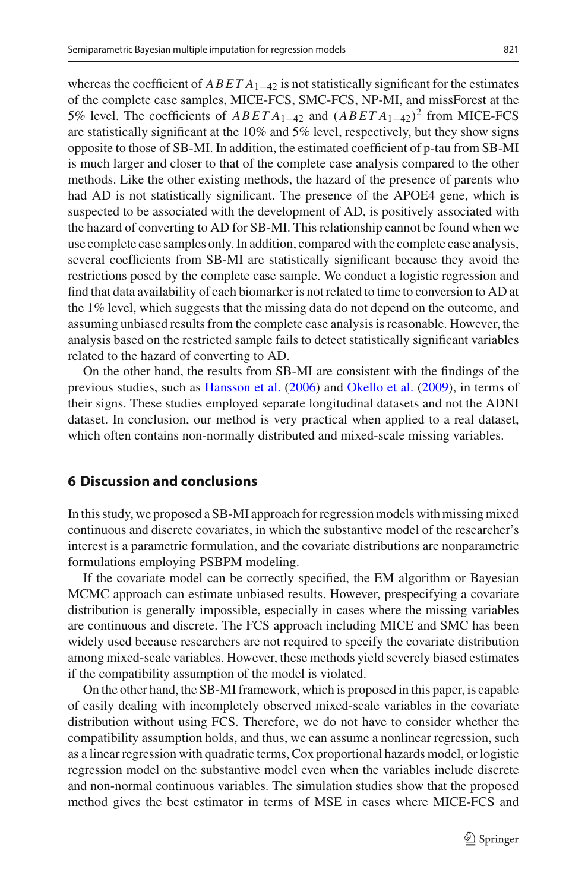whereas the coefficient of  $ABETA_{1-42}$  is not statistically significant for the estimates of the complete case samples, MICE-FCS, SMC-FCS, NP-MI, and missForest at the 5% level. The coefficients of *ABET A*1−<sup>42</sup> and (*ABET A*1−42)<sup>2</sup> from MICE-FCS are statistically significant at the 10% and 5% level, respectively, but they show signs opposite to those of SB-MI. In addition, the estimated coefficient of p-tau from SB-MI is much larger and closer to that of the complete case analysis compared to the other methods. Like the other existing methods, the hazard of the presence of parents who had AD is not statistically significant. The presence of the APOE4 gene, which is suspected to be associated with the development of AD, is positively associated with the hazard of converting to AD for SB-MI. This relationship cannot be found when we use complete case samples only. In addition, compared with the complete case analysis, several coefficients from SB-MI are statistically significant because they avoid the restrictions posed by the complete case sample. We conduct a logistic regression and find that data availability of each biomarker is not related to time to conversion to AD at the 1% level, which suggests that the missing data do not depend on the outcome, and assuming unbiased results from the complete case analysis is reasonable. However, the analysis based on the restricted sample fails to detect statistically significant variables related to the hazard of converting to AD.

On the other hand, the results from SB-MI are consistent with the findings of the previous studies, such as [Hansson et al.](#page-21-22) [\(2006](#page-21-22)) and [Okello et al.](#page-22-20) [\(2009](#page-22-20)), in terms of their signs. These studies employed separate longitudinal datasets and not the ADNI dataset. In conclusion, our method is very practical when applied to a real dataset, which often contains non-normally distributed and mixed-scale missing variables.

# <span id="page-18-0"></span>**6 Discussion and conclusions**

In this study, we proposed a SB-MI approach for regression models with missing mixed continuous and discrete covariates, in which the substantive model of the researcher's interest is a parametric formulation, and the covariate distributions are nonparametric formulations employing PSBPM modeling.

If the covariate model can be correctly specified, the EM algorithm or Bayesian MCMC approach can estimate unbiased results. However, prespecifying a covariate distribution is generally impossible, especially in cases where the missing variables are continuous and discrete. The FCS approach including MICE and SMC has been widely used because researchers are not required to specify the covariate distribution among mixed-scale variables. However, these methods yield severely biased estimates if the compatibility assumption of the model is violated.

On the other hand, the SB-MI framework, which is proposed in this paper, is capable of easily dealing with incompletely observed mixed-scale variables in the covariate distribution without using FCS. Therefore, we do not have to consider whether the compatibility assumption holds, and thus, we can assume a nonlinear regression, such as a linear regression with quadratic terms, Cox proportional hazards model, or logistic regression model on the substantive model even when the variables include discrete and non-normal continuous variables. The simulation studies show that the proposed method gives the best estimator in terms of MSE in cases where MICE-FCS and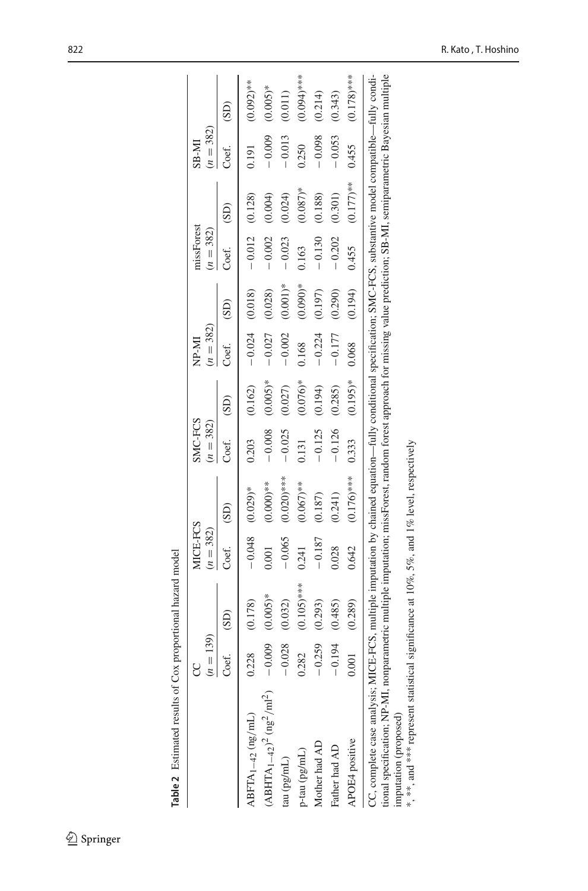<span id="page-19-0"></span>

|                                                                                                                                                                                                                                                                                                                                                                                                                                                                        | $(n = 139)$<br>g |               | MICE-FCS<br>$(n = 382)$ |                     | SMC-FCS<br>$(n = 382)$ |            | $(n = 382)$<br>IM-4N |            | missForest<br>$(n = 382)$ |            | $(n = 382)$<br>$M-8S$ |               |
|------------------------------------------------------------------------------------------------------------------------------------------------------------------------------------------------------------------------------------------------------------------------------------------------------------------------------------------------------------------------------------------------------------------------------------------------------------------------|------------------|---------------|-------------------------|---------------------|------------------------|------------|----------------------|------------|---------------------------|------------|-----------------------|---------------|
|                                                                                                                                                                                                                                                                                                                                                                                                                                                                        | Coef.            | (SD)          | Coef.                   | (SD)                | Coef.                  | (SD)       | Coef.                | (SD)       | Coef.                     | (SD)       | Coef.                 | (SD)          |
| $ABFTA_{1-42}$ (ng/mL)                                                                                                                                                                                                                                                                                                                                                                                                                                                 | 0.228            | (0.178)       |                         | $-0.048$ $(0.029)*$ | 0.203                  | (0.162)    | $-0.024$ (0.018)     |            | $-0.012$ (0.128)          |            | 0.191                 | $(0.092)$ **  |
| $(ABHTA_{1-42})^2$ (ng <sup>2</sup> /ml <sup>2</sup> )                                                                                                                                                                                                                                                                                                                                                                                                                 | $-0.009$         | $(0.005)*$    | 0.001                   | $(0.000)*$          | $-0.008$               | $(0.005)*$ | $-0.027$             | (0.028)    | $-0.002$                  | (0.004)    | $-0.009$              | $(0.005)*$    |
| tau (pg/mL)                                                                                                                                                                                                                                                                                                                                                                                                                                                            | $-0.028$         | (0.032)       | $-0.065$                | $(0.020)$ ***       | $-0.025$               | (0.027)    | $-0.002$             | $(0.001)*$ | $-0.023$                  | (0.024)    | $-0.013$              | (0.011)       |
| p-tau (pg/mL)                                                                                                                                                                                                                                                                                                                                                                                                                                                          | 0.282            | $(0.105)$ *** | 0.241                   | $(0.067)$ **        | 0.131                  | $(0.076)*$ | 0.168                | $(0.090)*$ | 0.163                     | $(0.087)*$ | 0.250                 | $(0.094)$ *** |
| Mother had AD                                                                                                                                                                                                                                                                                                                                                                                                                                                          | $-0.259$         | (0.293)       | $-0.187$                | (0.187)             | $-0.125$               | (0.194)    | $-0.224$             | (0.197)    | $-0.130$                  | (0.188)    | $-0.098$              | (0.214)       |
| Father had AD                                                                                                                                                                                                                                                                                                                                                                                                                                                          | $-0.194$         | (0.485)       | 0.028                   | (0.241)             | $-0.126$               | (0.285)    | $-0.177$             | (0.290)    | $-0.202$                  | (0.301)    | $-0.053$              | (0.343)       |
| APOE4 positive                                                                                                                                                                                                                                                                                                                                                                                                                                                         | 0.001            | (0.289)       | 0.642                   | $(0.176)$ ***       | 0.333                  | $(0.195)*$ | 0.068                | (0.194)    | 0.455                     | $(0.177)*$ | 0.455                 | $(0.178)$ *** |
| CC, complete case analysis, MICE-FCS, multiple imputation by chained equation—fully conditional specification; SMC-FCS, substantive model compatible—fully condi-<br>tional specification; NP-MI, nonparametric multiple imputation; missForest, random forest approach for missing value prediction; SB-MI, semiparametric Bayesian multiple<br>*, **, and *** represent statistical significance at 10%, $5\%$ , and 1% level, respectively<br>imputation (proposed) |                  |               |                         |                     |                        |            |                      |            |                           |            |                       |               |
|                                                                                                                                                                                                                                                                                                                                                                                                                                                                        |                  |               |                         |                     |                        |            |                      |            |                           |            |                       |               |

822 R. Kato , T. Hoshino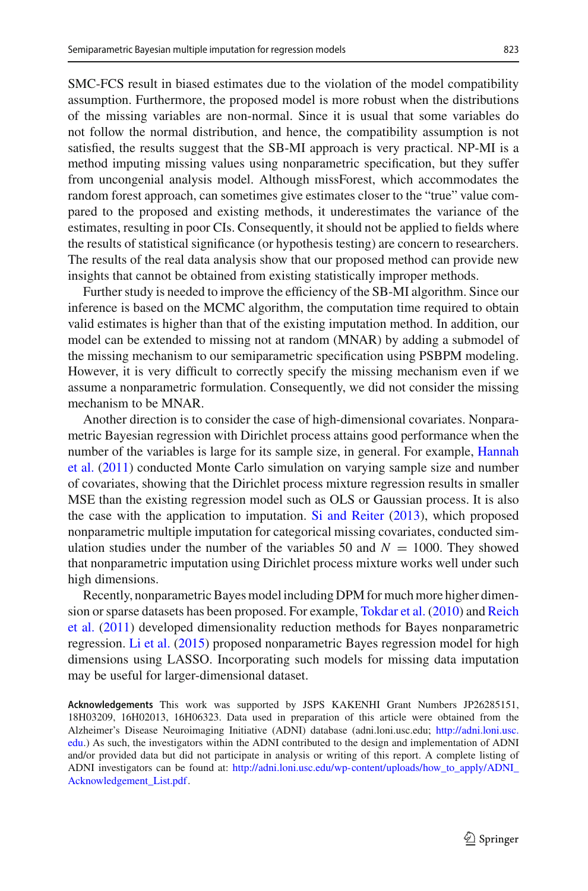SMC-FCS result in biased estimates due to the violation of the model compatibility assumption. Furthermore, the proposed model is more robust when the distributions of the missing variables are non-normal. Since it is usual that some variables do not follow the normal distribution, and hence, the compatibility assumption is not satisfied, the results suggest that the SB-MI approach is very practical. NP-MI is a method imputing missing values using nonparametric specification, but they suffer from uncongenial analysis model. Although missForest, which accommodates the random forest approach, can sometimes give estimates closer to the "true" value compared to the proposed and existing methods, it underestimates the variance of the estimates, resulting in poor CIs. Consequently, it should not be applied to fields where the results of statistical significance (or hypothesis testing) are concern to researchers. The results of the real data analysis show that our proposed method can provide new insights that cannot be obtained from existing statistically improper methods.

Further study is needed to improve the efficiency of the SB-MI algorithm. Since our inference is based on the MCMC algorithm, the computation time required to obtain valid estimates is higher than that of the existing imputation method. In addition, our model can be extended to missing not at random (MNAR) by adding a submodel of the missing mechanism to our semiparametric specification using PSBPM modeling. However, it is very difficult to correctly specify the missing mechanism even if we assume a nonparametric formulation. Consequently, we did not consider the missing mechanism to be MNAR.

Another direction is to consider the case of high-dimensional covariates. Nonparametric Bayesian regression with Dirichlet process attains good performance when the num[ber](#page-21-23) [of](#page-21-23) [the](#page-21-23) [variables](#page-21-23) [is](#page-21-23) [large](#page-21-23) [for](#page-21-23) [its](#page-21-23) [sample](#page-21-23) [size,](#page-21-23) [in](#page-21-23) [general.](#page-21-23) [For](#page-21-23) [example,](#page-21-23) Hannah et al. [\(2011\)](#page-21-23) conducted Monte Carlo simulation on varying sample size and number of covariates, showing that the Dirichlet process mixture regression results in smaller MSE than the existing regression model such as OLS or Gaussian process. It is also the case with the application to imputation. [Si and Reiter](#page-22-21) [\(2013](#page-22-21)), which proposed nonparametric multiple imputation for categorical missing covariates, conducted simulation studies under the number of the variables 50 and  $N = 1000$ . They showed that nonparametric imputation using Dirichlet process mixture works well under such high dimensions.

Recently, nonparametric Bayes model including DPM for much more higher dimension [or](#page-22-23) [sparse](#page-22-23) [datasets](#page-22-23) [has](#page-22-23) [been](#page-22-23) [proposed.](#page-22-23) [For](#page-22-23) [example,](#page-22-23) [Tokdar et al.](#page-22-22) [\(2010](#page-22-22)) and Reich et al. [\(2011](#page-22-23)) developed dimensionality reduction methods for Bayes nonparametric regression. [Li et al.](#page-21-24) [\(2015](#page-21-24)) proposed nonparametric Bayes regression model for high dimensions using LASSO. Incorporating such models for missing data imputation may be useful for larger-dimensional dataset.

**Acknowledgements** This work was supported by JSPS KAKENHI Grant Numbers JP26285151, 18H03209, 16H02013, 16H06323. Data used in preparation of this article were obtained from the Alzheimer's Disease Neuroimaging Initiative (ADNI) database (adni.loni.usc.edu; [http://adni.loni.usc.](http://adni.loni.usc.edu) [edu.](http://adni.loni.usc.edu)) As such, the investigators within the ADNI contributed to the design and implementation of ADNI and/or provided data but did not participate in analysis or writing of this report. A complete listing of ADNI investigators can be found at: [http://adni.loni.usc.edu/wp-content/uploads/how\\_to\\_apply/ADNI\\_](http://adni.loni.usc.edu/wp-content/uploads/how_to_apply/ADNI_Acknowledgement_List.pdf) [Acknowledgement\\_List.pdf.](http://adni.loni.usc.edu/wp-content/uploads/how_to_apply/ADNI_Acknowledgement_List.pdf)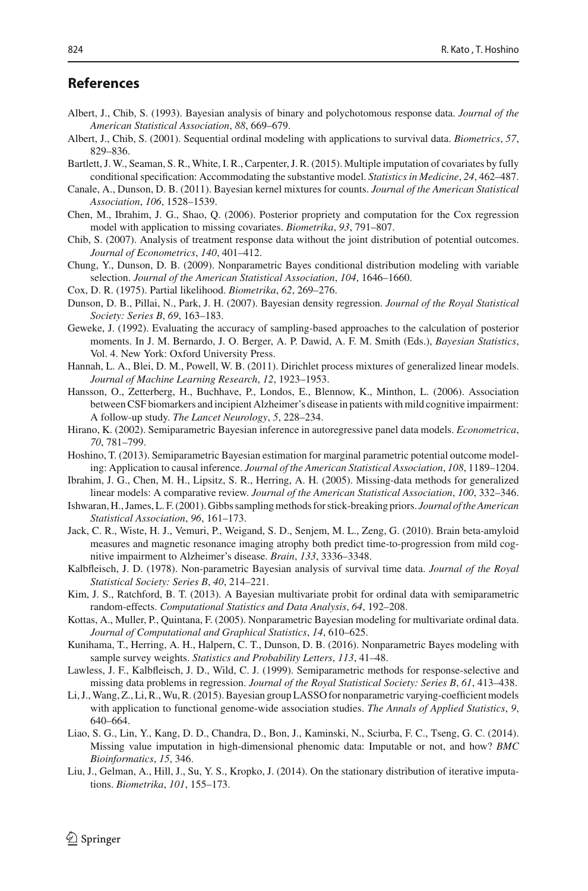# **References**

- <span id="page-21-15"></span>Albert, J., Chib, S. (1993). Bayesian analysis of binary and polychotomous response data. *Journal of the American Statistical Association*, *88*, 669–679.
- <span id="page-21-16"></span>Albert, J., Chib, S. (2001). Sequential ordinal modeling with applications to survival data. *Biometrics*, *57*, 829–836.
- <span id="page-21-2"></span>Bartlett, J. W., Seaman, S. R., White, I. R., Carpenter, J. R. (2015). Multiple imputation of covariates by fully conditional specification: Accommodating the substantive model. *Statistics in Medicine*, *24*, 462–487.
- <span id="page-21-6"></span>Canale, A., Dunson, D. B. (2011). Bayesian kernel mixtures for counts. *Journal of the American Statistical Association*, *106*, 1528–1539.
- <span id="page-21-20"></span>Chen, M., Ibrahim, J. G., Shao, Q. (2006). Posterior propriety and computation for the Cox regression model with application to missing covariates. *Biometrika*, *93*, 791–807.
- <span id="page-21-9"></span>Chib, S. (2007). Analysis of treatment response data without the joint distribution of potential outcomes. *Journal of Econometrics*, *140*, 401–412.
- <span id="page-21-4"></span>Chung, Y., Dunson, D. B. (2009). Nonparametric Bayes conditional distribution modeling with variable selection. *Journal of the American Statistical Association*, *104*, 1646–1660.
- <span id="page-21-19"></span>Cox, D. R. (1975). Partial likelihood. *Biometrika*, *62*, 269–276.
- <span id="page-21-12"></span>Dunson, D. B., Pillai, N., Park, J. H. (2007). Bayesian density regression. *Journal of the Royal Statistical Society: Series B*, *69*, 163–183.
- <span id="page-21-21"></span>Geweke, J. (1992). Evaluating the accuracy of sampling-based approaches to the calculation of posterior moments. In J. M. Bernardo, J. O. Berger, A. P. Dawid, A. F. M. Smith (Eds.), *Bayesian Statistics*, Vol. 4. New York: Oxford University Press.
- <span id="page-21-23"></span>Hannah, L. A., Blei, D. M., Powell, W. B. (2011). Dirichlet process mixtures of generalized linear models. *Journal of Machine Learning Research*, *12*, 1923–1953.
- <span id="page-21-22"></span>Hansson, O., Zetterberg, H., Buchhave, P., Londos, E., Blennow, K., Minthon, L. (2006). Association between CSF biomarkers and incipient Alzheimer's disease in patients with mild cognitive impairment: A follow-up study. *The Lancet Neurology*, *5*, 228–234.
- <span id="page-21-10"></span>Hirano, K. (2002). Semiparametric Bayesian inference in autoregressive panel data models. *Econometrica*, *70*, 781–799.
- <span id="page-21-13"></span>Hoshino, T. (2013). Semiparametric Bayesian estimation for marginal parametric potential outcome modeling: Application to causal inference. *Journal of the American Statistical Association*, *108*, 1189–1204.
- <span id="page-21-0"></span>Ibrahim, J. G., Chen, M. H., Lipsitz, S. R., Herring, A. H. (2005). Missing-data methods for generalized linear models: A comparative review. *Journal of the American Statistical Association*, *100*, 332–346.
- <span id="page-21-14"></span>Ishwaran, H., James, L. F. (2001). Gibbs sampling methods for stick-breaking priors. *Journal of the American Statistical Association*, *96*, 161–173.
- <span id="page-21-3"></span>Jack, C. R., Wiste, H. J., Vemuri, P., Weigand, S. D., Senjem, M. L., Zeng, G. (2010). Brain beta-amyloid measures and magnetic resonance imaging atrophy both predict time-to-progression from mild cognitive impairment to Alzheimer's disease. *Brain*, *133*, 3336–3348.
- <span id="page-21-18"></span>Kalbfleisch, J. D. (1978). Non-parametric Bayesian analysis of survival time data. *Journal of the Royal Statistical Society: Series B*, *40*, 214–221.
- <span id="page-21-7"></span>Kim, J. S., Ratchford, B. T. (2013). A Bayesian multivariate probit for ordinal data with semiparametric random-effects. *Computational Statistics and Data Analysis*, *64*, 192–208.
- <span id="page-21-5"></span>Kottas, A., Muller, P., Quintana, F. (2005). Nonparametric Bayesian modeling for multivariate ordinal data. *Journal of Computational and Graphical Statistics*, *14*, 610–625.
- <span id="page-21-11"></span>Kunihama, T., Herring, A. H., Halpern, C. T., Dunson, D. B. (2016). Nonparametric Bayes modeling with sample survey weights. *Statistics and Probability Letters*, *113*, 41–48.
- <span id="page-21-8"></span>Lawless, J. F., Kalbfleisch, J. D., Wild, C. J. (1999). Semiparametric methods for response-selective and missing data problems in regression. *Journal of the Royal Statistical Society: Series B*, *61*, 413–438.
- <span id="page-21-24"></span>Li, J.,Wang, Z., Li, R.,Wu, R. (2015). Bayesian group LASSO for nonparametric varying-coefficient models with application to functional genome-wide association studies. *The Annals of Applied Statistics*, *9*, 640–664.
- <span id="page-21-17"></span>Liao, S. G., Lin, Y., Kang, D. D., Chandra, D., Bon, J., Kaminski, N., Sciurba, F. C., Tseng, G. C. (2014). Missing value imputation in high-dimensional phenomic data: Imputable or not, and how? *BMC Bioinformatics*, *15*, 346.
- <span id="page-21-1"></span>Liu, J., Gelman, A., Hill, J., Su, Y. S., Kropko, J. (2014). On the stationary distribution of iterative imputations. *Biometrika*, *101*, 155–173.